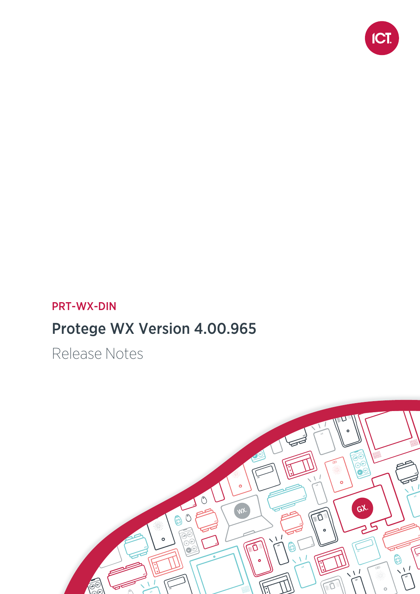

# PRT-WX-DIN

# Protege WX Version 4.00.965

Release Notes

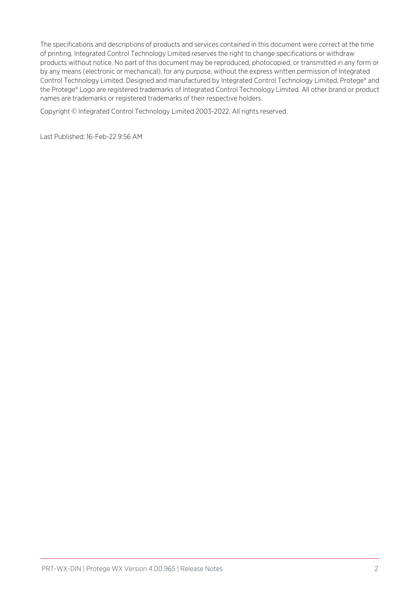The specifications and descriptions of products and services contained in this document were correct at the time of printing. Integrated Control Technology Limited reserves the right to change specifications or withdraw products without notice. No part of this document may be reproduced, photocopied, or transmitted in any form or by any means (electronic or mechanical), for any purpose, without the express written permission of Integrated Control Technology Limited. Designed and manufactured by Integrated Control Technology Limited, Protege® and the Protege® Logo are registered trademarks of Integrated Control Technology Limited. All other brand or product names are trademarks or registered trademarks of their respective holders.

Copyright © Integrated Control Technology Limited 2003-2022. All rights reserved.

Last Published: 16-Feb-22 9:56 AM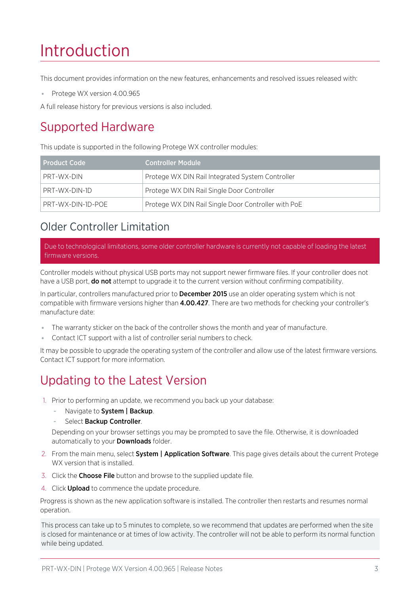# Introduction

This document provides information on the new features, enhancements and resolved issues released with:

⦁ Protege WX version 4.00.965

A full release history for previous versions is also included.

# Supported Hardware

This update is supported in the following Protege WX controller modules:

| <b>Product Code</b> | <b>Controller Module</b>                            |
|---------------------|-----------------------------------------------------|
| PRT-WX-DIN          | Protege WX DIN Rail Integrated System Controller    |
| PRT-WX-DIN-1D       | Protege WX DIN Rail Single Door Controller          |
| PRT-WX-DIN-1D-POE   | Protege WX DIN Rail Single Door Controller with PoE |

# <span id="page-2-0"></span>Older Controller Limitation

Due to technological limitations, some older controller hardware is currently not capable of loading the latest firmware versions.

Controller models without physical USB ports may not support newer firmware files. If your controller does not have a USB port, **do not** attempt to upgrade it to the current version without confirming compatibility.

In particular, controllers manufactured prior to **December 2015** use an older operating system which is not compatible with firmware versions higher than 4.00.427. There are two methods for checking your controller's manufacture date:

- The warranty sticker on the back of the controller shows the month and year of manufacture.
- ⦁ Contact ICT support with a list of controller serial numbers to check.

It may be possible to upgrade the operating system of the controller and allow use of the latest firmware versions. Contact ICT support for more information.

# Updating to the Latest Version

- 1. Prior to performing an update, we recommend you back up your database:
	- Navigate to System | Backup.
	- Select Backup Controller.

Depending on your browser settings you may be prompted to save the file. Otherwise, it is downloaded automatically to your **Downloads** folder.

- 2. From the main menu, select **System | Application Software**. This page gives details about the current Protege WX version that is installed.
- 3. Click the **Choose File** button and browse to the supplied update file.
- 4. Click **Upload** to commence the update procedure.

Progress is shown as the new application software is installed. The controller then restarts and resumes normal operation.

This process can take up to 5 minutes to complete, so we recommend that updates are performed when the site is closed for maintenance or at times of low activity. The controller will not be able to perform its normal function while being updated.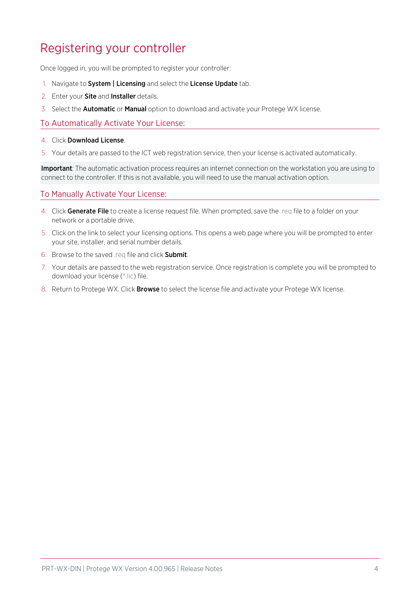# Registering your controller

Once logged in, you will be prompted to register your controller:

- 1. Navigate to System | Licensing and select the License Update tab.
- 2. Enter your Site and Installer details.
- 3. Select the Automatic or Manual option to download and activate your Protege WX license.

### To Automatically Activate Your License:

#### 4. Click Download License.

5. Your details are passed to the ICT web registration service, then your license is activated automatically.

Important: The automatic activation process requires an internet connection on the workstation you are using to connect to the controller. If this is not available, you will need to use the manual activation option.

### To Manually Activate Your License:

- 4. Click Generate File to create a license request file. When prompted, save the .req file to a folder on your network or a portable drive.
- 5. Click on the link to select your licensing options. This opens a web page where you will be prompted to enter your site, installer, and serial number details.
- 6. Browse to the saved .req file and click Submit.
- 7. Your details are passed to the web registration service. Once registration is complete you will be prompted to download your license (\*.lic) file.
- 8. Return to Protege WX. Click **Browse** to select the license file and activate your Protege WX license.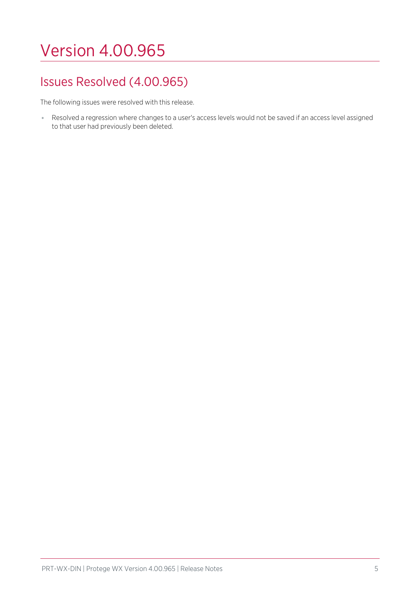# Version 4.00.965

# Issues Resolved (4.00.965)

The following issues were resolved with this release.

⦁ Resolved a regression where changes to a user's access levels would not be saved if an access level assigned to that user had previously been deleted.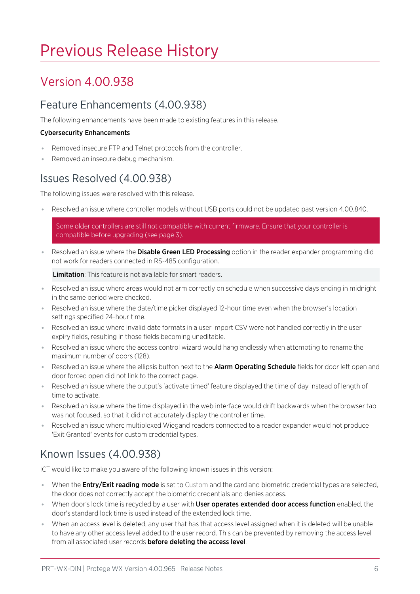# Previous Release History

# Version 4.00.938

# Feature Enhancements (4.00.938)

The following enhancements have been made to existing features in this release.

#### Cybersecurity Enhancements

- Removed insecure FTP and Telnet protocols from the controller.
- ⦁ Removed an insecure debug mechanism.

## Issues Resolved (4.00.938)

The following issues were resolved with this release.

Resolved an issue where controller models without USB ports could not be updated past version 4.00.840.

Some older controllers are still not compatible with current firmware. Ensure that your controller is compatible before upgrading (see [page 3\).](#page-2-0)

■ Resolved an issue where the **Disable Green LED Processing** option in the reader expander programming did not work for readers connected in RS-485 configuration.

Limitation: This feature is not available for smart readers.

- ⦁ Resolved an issue where areas would not arm correctly on schedule when successive days ending in midnight in the same period were checked.
- ⦁ Resolved an issue where the date/time picker displayed 12-hour time even when the browser's location settings specified 24-hour time.
- ⦁ Resolved an issue where invalid date formats in a user import CSV were not handled correctly in the user expiry fields, resulting in those fields becoming uneditable.
- ⦁ Resolved an issue where the access control wizard would hang endlessly when attempting to rename the maximum number of doors (128).
- Resolved an issue where the ellipsis button next to the **Alarm Operating Schedule** fields for door left open and door forced open did not link to the correct page.
- ⦁ Resolved an issue where the output's 'activate timed' feature displayed the time of day instead of length of time to activate.
- ⦁ Resolved an issue where the time displayed in the web interface would drift backwards when the browser tab was not focused, so that it did not accurately display the controller time.
- ⦁ Resolved an issue where multiplexed Wiegand readers connected to a reader expander would not produce 'Exit Granted' events for custom credential types.

# Known Issues (4.00.938)

ICT would like to make you aware of the following known issues in this version:

- When the **Entry/Exit reading mode** is set to Custom and the card and biometric credential types are selected, the door does not correctly accept the biometric credentials and denies access.
- When door's lock time is recycled by a user with User operates extended door access function enabled, the door's standard lock time is used instead of the extended lock time.
- When an access level is deleted, any user that has that access level assigned when it is deleted will be unable to have any other access level added to the user record. This can be prevented by removing the access level from all associated user records before deleting the access level.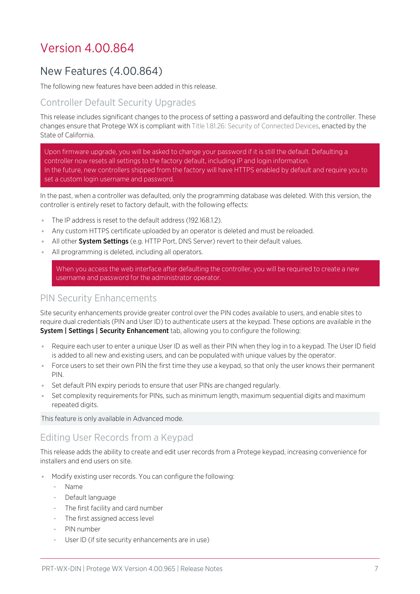# Version 4.00.864

# New Features (4.00.864)

The following new features have been added in this release.

## Controller Default Security Upgrades

This release includes significant changes to the process of setting a password and defaulting the controller. These changes ensure that Protege WX is compliant with Title 1.81.26: Security of Connected Devices, enacted by the State of California.

Upon firmware upgrade, you will be asked to change your password if it is still the default. Defaulting a controller now resets all settings to the factory default, including IP and login information. In the future, new controllers shipped from the factory will have HTTPS enabled by default and require you to set a custom login username and password.

In the past, when a controller was defaulted, only the programming database was deleted. With this version, the controller is entirely reset to factory default, with the following effects:

- ⦁ The IP address is reset to the default address (192.168.1.2).
- ⦁ Any custom HTTPS certificate uploaded by an operator is deleted and must be reloaded.
- All other System Settings (e.g. HTTP Port, DNS Server) revert to their default values.
- ⦁ All programming is deleted, including all operators.

When you access the web interface after defaulting the controller, you will be required to create a new username and password for the administrator operator.

## PIN Security Enhancements

Site security enhancements provide greater control over the PIN codes available to users, and enable sites to require dual credentials (PIN and User ID) to authenticate users at the keypad. These options are available in the System | Settings | Security Enhancement tab, allowing you to configure the following:

- Require each user to enter a unique User ID as well as their PIN when they log in to a keypad. The User ID field is added to all new and existing users, and can be populated with unique values by the operator.
- ⦁ Force users to set their own PIN the first time they use a keypad, so that only the user knows their permanent PIN.
- ⦁ Set default PIN expiry periods to ensure that user PINs are changed regularly.
- ⦁ Set complexity requirements for PINs, such as minimum length, maximum sequential digits and maximum repeated digits.

This feature is only available in Advanced mode.

## Editing User Records from a Keypad

This release adds the ability to create and edit user records from a Protege keypad, increasing convenience for installers and end users on site.

- Modify existing user records. You can configure the following:
	- Name
	- Default language
	- The first facility and card number
	- The first assigned access level
	- PIN number
	- User ID (if site security enhancements are in use)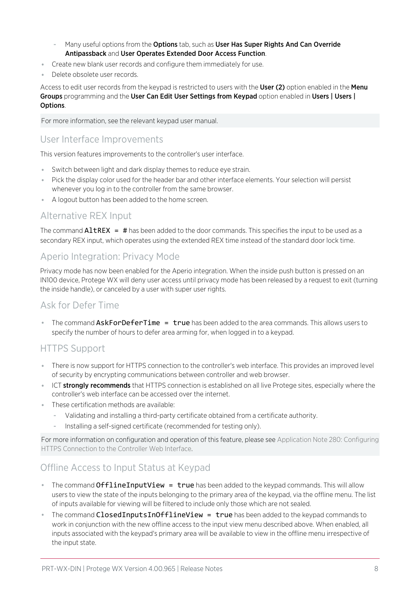- Many useful options from the Options tab, such as User Has Super Rights And Can Override Antipassback and User Operates Extended Door Access Function.
- ⦁ Create new blank user records and configure them immediately for use.
- ⦁ Delete obsolete user records.

Access to edit user records from the keypad is restricted to users with the User (2) option enabled in the Menu Groups programming and the User Can Edit User Settings from Keypad option enabled in Users | Users | Options.

For more information, see the relevant keypad user manual.

## User Interface Improvements

This version features improvements to the controller's user interface.

- ⦁ Switch between light and dark display themes to reduce eye strain.
- ⦁ Pick the display color used for the header bar and other interface elements. Your selection will persist whenever you log in to the controller from the same browser.
- ⦁ A logout button has been added to the home screen.

## Alternative REX Input

The command  $\text{Altrex} = #$  has been added to the door commands. This specifies the input to be used as a secondary REX input, which operates using the extended REX time instead of the standard door lock time.

## Aperio Integration: Privacy Mode

Privacy mode has now been enabled for the Aperio integration. When the inside push button is pressed on an IN100 device, Protege WX will deny user access until privacy mode has been released by a request to exit (turning the inside handle), or canceled by a user with super user rights.

## Ask for Defer Time

■ The command AskForDeferTime = true has been added to the area commands. This allows users to specify the number of hours to defer area arming for, when logged in to a keypad.

### HTTPS Support

- ⦁ There is now support for HTTPS connection to the controller's web interface. This provides an improved level of security by encrypting communications between controller and web browser.
- **ICT strongly recommends** that HTTPS connection is established on all live Protege sites, especially where the controller's web interface can be accessed over the internet.
- ⦁ These certification methods are available:
	- Validating and installing a third-party certificate obtained from a certificate authority.
	- Installing a self-signed certificate (recommended for testing only).

For more information on configuration and operation of this feature, please see Application Note 280: Configuring HTTPS Connection to the Controller Web Interface.

## Offline Access to Input Status at Keypad

- **The command OfflineInputView = true** has been added to the keypad commands. This will allow users to view the state of the inputs belonging to the primary area of the keypad, via the offline menu. The list of inputs available for viewing will be filtered to include only those which are not sealed.
- The command ClosedInputsInOfflineView  $=$  true has been added to the keypad commands to work in conjunction with the new offline access to the input view menu described above. When enabled, all inputs associated with the keypad's primary area will be available to view in the offline menu irrespective of the input state.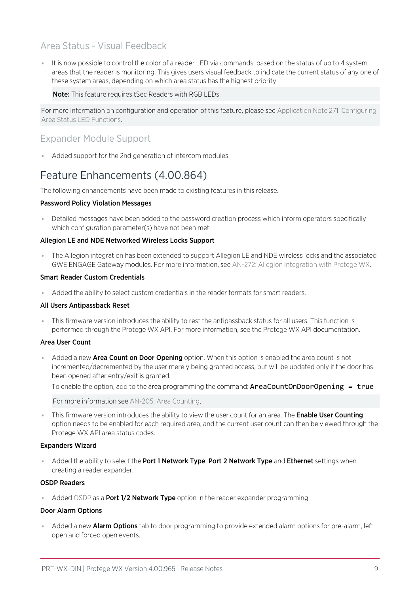## Area Status - Visual Feedback

⦁ It is now possible to control the color of a reader LED via commands, based on the status of up to 4 system areas that the reader is monitoring. This gives users visual feedback to indicate the current status of any one of these system areas, depending on which area status has the highest priority.

Note: This feature requires tSec Readers with RGB LEDs.

For more information on configuration and operation of this feature, please see Application Note 271: Configuring Area Status LED Functions.

## Expander Module Support

⦁ Added support for the 2nd generation of intercom modules.

## Feature Enhancements (4.00.864)

The following enhancements have been made to existing features in this release.

#### Password Policy Violation Messages

⦁ Detailed messages have been added to the password creation process which inform operators specifically which configuration parameter(s) have not been met.

#### Allegion LE and NDE Networked Wireless Locks Support

⦁ The Allegion integration has been extended to support Allegion LE and NDE wireless locks and the associated GWE ENGAGE Gateway modules. For more information, see AN-272: Allegion Integration with Protege WX.

#### Smart Reader Custom Credentials

⦁ Added the ability to select custom credentials in the reader formats for smart readers.

#### All Users Antipassback Reset

⦁ This firmware version introduces the ability to rest the antipassback status for all users. This function is performed through the Protege WX API. For more information, see the Protege WX API documentation.

#### Area User Count

Added a new Area Count on Door Opening option. When this option is enabled the area count is not incremented/decremented by the user merely being granted access, but will be updated only if the door has been opened after entry/exit is granted.

To enable the option, add to the area programming the command: AreaCountOnDoorOpening = true

For more information see AN-205: Area Counting.

**This firmware version introduces the ability to view the user count for an area. The Enable User Counting** option needs to be enabled for each required area, and the current user count can then be viewed through the Protege WX API area status codes.

#### Expanders Wizard

Added the ability to select the Port 1 Network Type, Port 2 Network Type and Ethernet settings when creating a reader expander.

#### OSDP Readers

• Added OSDP as a **Port 1/2 Network Type** option in the reader expander programming.

#### Door Alarm Options

Added a new **Alarm Options** tab to door programming to provide extended alarm options for pre-alarm, left open and forced open events.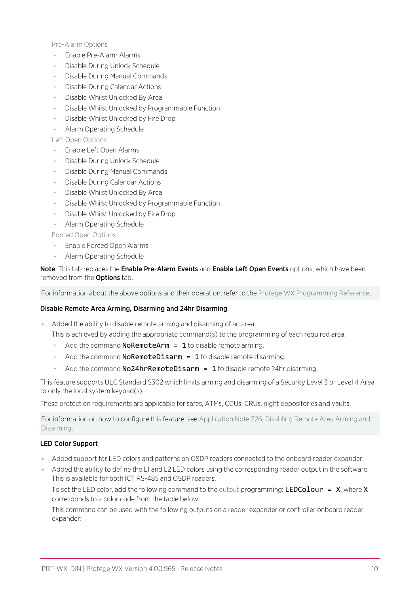Pre-Alarm Options

- Enable Pre-Alarm Alarms
- Disable During Unlock Schedule
- Disable During Manual Commands
- Disable During Calendar Actions
- Disable Whilst Unlocked By Area
- Disable Whilst Unlocked by Programmable Function
- Disable Whilst Unlocked by Fire Drop
- Alarm Operating Schedule

Left Open Options

- Enable Left Open Alarms
- Disable During Unlock Schedule
- Disable During Manual Commands
- Disable During Calendar Actions
- Disable Whilst Unlocked By Area
- Disable Whilst Unlocked by Programmable Function
- Disable Whilst Unlocked by Fire Drop
- Alarm Operating Schedule

Forced Open Options

- Enable Forced Open Alarms
- Alarm Operating Schedule

### Note: This tab replaces the Enable Pre-Alarm Events and Enable Left Open Events options, which have been removed from the **Options** tab.

For information about the above options and their operation, refer to the Protege WX Programming Reference.

#### Disable Remote Area Arming, Disarming and 24hr Disarming

⦁ Added the ability to disable remote arming and disarming of an area.

This is achieved by adding the appropriate command(s) to the programming of each required area.

- Add the command **NoRemoteArm = 1** to disable remote arming.
- Add the command  $N୍RemoteDisarm =  $1$  to disable remote disarming.$
- Add the command  $No24hrRemoteDisarm = 1$  to disable remote 24hr disarming.

This feature supports ULC Standard S302 which limits arming and disarming of a Security Level 3 or Level 4 Area to only the local system keypad(s).

These protection requirements are applicable for safes, ATMs, CDUs, CRUs, night depositories and vaults.

For information on how to configure this feature, see Application Note 326: Disabling Remote Area Arming and Disarming.

#### LED Color Support

- ⦁ Added support for LED colors and patterns on OSDP readers connected to the onboard reader expander.
- Added the ability to define the L1 and L2 LED colors using the corresponding reader output in the software. This is available for both ICT RS-485 and OSDP readers.

To set the LED color, add the following command to the output programming: LEDColour =  $X$ , where X corresponds to a color code from the table below.

This command can be used with the following outputs on a reader expander or controller onboard reader expander: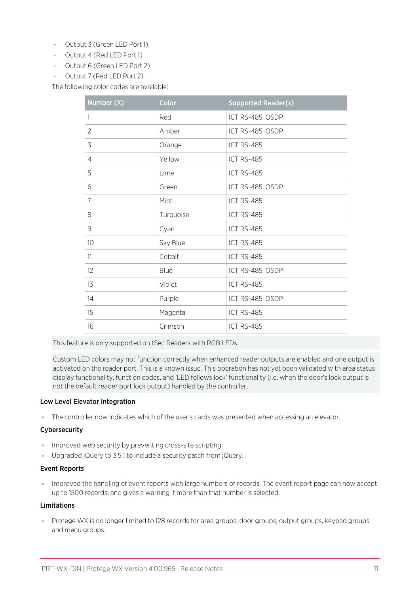- Output 3 (Green LED Port 1)
- Output 4 (Red LED Port 1)
- Output 6 (Green LED Port 2)
- Output 7 (Red LED Port 2)

The following color codes are available:

| Number (X)      | Color     | <b>Supported Reader(s)</b> |
|-----------------|-----------|----------------------------|
| 1               | Red       | ICT RS-485, OSDP           |
| $\overline{2}$  | Amber     | ICT RS-485, OSDP           |
| 3               | Orange    | ICT RS-485                 |
| 4               | Yellow    | <b>ICT RS-485</b>          |
| 5               | Lime      | ICT RS-485                 |
| 6               | Green     | ICT RS-485, OSDP           |
| $\overline{7}$  | Mint      | ICT RS-485                 |
| 8               | Turquoise | ICT RS-485                 |
| 9               | Cyan      | <b>ICT RS-485</b>          |
| 10 <sup>°</sup> | Sky Blue  | ICT RS-485                 |
| 11              | Cobalt    | ICT RS-485                 |
| 12              | Blue      | ICT RS-485, OSDP           |
| 13              | Violet    | ICT RS-485                 |
| 14              | Purple    | ICT RS-485, OSDP           |
| 15              | Magenta   | ICT RS-485                 |
| 16              | Crimson   | <b>ICT RS-485</b>          |

This feature is only supported on tSec Readers with RGB LEDs.

Custom LED colors may not function correctly when enhanced reader outputs are enabled and one output is activated on the reader port. This is a known issue. This operation has not yet been validated with area status display functionality, function codes, and 'LED follows lock' functionality (i.e. when the door's lock output is not the default reader port lock output) handled by the controller.

#### Low Level Elevator Integration

⦁ The controller now indicates which of the user's cards was presented when accessing an elevator.

#### Cybersecurity

- ⦁ Improved web security by preventing cross-site scripting.
- ⦁ Upgraded jQuery to 3.5.1 to include a security patch from jQuery.

#### Event Reports

⦁ Improved the handling of event reports with large numbers of records. The event report page can now accept up to 1500 records, and gives a warning if more than that number is selected.

#### Limitations

⦁ Protege WX is no longer limited to 128 records for area groups, door groups, output groups, keypad groups and menu groups.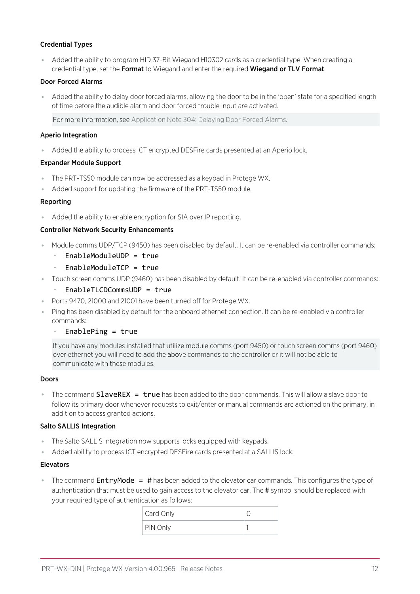### Credential Types

⦁ Added the ability to program HID 37-Bit Wiegand H10302 cards as a credential type. When creating a credential type, set the Format to Wiegand and enter the required Wiegand or TLV Format.

#### Door Forced Alarms

⦁ Added the ability to delay door forced alarms, allowing the door to be in the 'open' state for a specified length of time before the audible alarm and door forced trouble input are activated.

For more information, see Application Note 304: Delaying Door Forced Alarms.

#### Aperio Integration

⦁ Added the ability to process ICT encrypted DESFire cards presented at an Aperio lock.

#### Expander Module Support

- ⦁ The PRT-TS50 module can now be addressed as a keypad in Protege WX.
- ⦁ Added support for updating the firmware of the PRT-TS50 module.

#### Reporting

⦁ Added the ability to enable encryption for SIA over IP reporting.

#### Controller Network Security Enhancements

- ⦁ Module comms UDP/TCP (9450) has been disabled by default. It can be re-enabled via controller commands:
	- EnableModuleUDP = true
	- EnableModuleTCP = true
- ⦁ Touch screen comms UDP (9460) has been disabled by default. It can be re-enabled via controller commands:
	- EnableTLCDCommsUDP = true
- ⦁ Ports 9470, 21000 and 21001 have been turned off for Protege WX.
- ⦁ Ping has been disabled by default for the onboard ethernet connection. It can be re-enabled via controller commands:
	- $EnablePing = true$

If you have any modules installed that utilize module comms (port 9450) or touch screen comms (port 9460) over ethernet you will need to add the above commands to the controller or it will not be able to communicate with these modules.

#### Doors

The command  $SlaveREX = true$  has been added to the door commands. This will allow a slave door to follow its primary door whenever requests to exit/enter or manual commands are actioned on the primary, in addition to access granted actions.

#### Salto SALLIS Integration

- ⦁ The Salto SALLIS Integration now supports locks equipped with keypads.
- ⦁ Added ability to process ICT encrypted DESFire cards presented at a SALLIS lock.

#### Elevators

**The command EntryMode = #** has been added to the elevator car commands. This configures the type of authentication that must be used to gain access to the elevator car. The # symbol should be replaced with your required type of authentication as follows:

| Card Only |  |
|-----------|--|
| PIN Only  |  |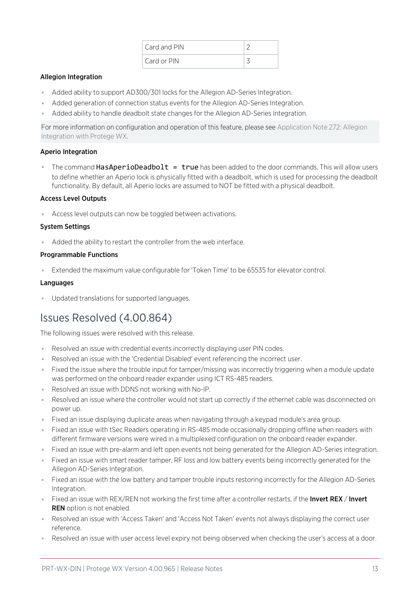| Card and PIN |  |
|--------------|--|
| Card or PIN  |  |

### Allegion Integration

- ⦁ Added ability to support AD300/301 locks for the Allegion AD-Series Integration.
- Added generation of connection status events for the Allegion AD-Series Integration.
- ⦁ Added ability to handle deadbolt state changes for the Allegion AD-Series Integration.

For more information on configuration and operation of this feature, please see Application Note 272: Allegion Integration with Protege WX.

#### Aperio Integration

The command **HasAperioDeadbolt = true** has been added to the door commands. This will allow users to define whether an Aperio lock is physically fitted with a deadbolt, which is used for processing the deadbolt functionality. By default, all Aperio locks are assumed to NOT be fitted with a physical deadbolt.

### Access Level Outputs

⦁ Access level outputs can now be toggled between activations.

#### System Settings

⦁ Added the ability to restart the controller from the web interface.

#### Programmable Functions

⦁ Extended the maximum value configurable for 'Token Time' to be 65535 for elevator control.

#### **Languages**

⦁ Updated translations for supported languages.

# Issues Resolved (4.00.864)

The following issues were resolved with this release.

- ⦁ Resolved an issue with credential events incorrectly displaying user PIN codes.
- ⦁ Resolved an issue with the 'Credential Disabled' event referencing the incorrect user.
- ⦁ Fixed the issue where the trouble input for tamper/missing was incorrectly triggering when a module update was performed on the onboard reader expander using ICT RS-485 readers.
- ⦁ Resolved an issue with DDNS not working with No-IP.
- ⦁ Resolved an issue where the controller would not start up correctly if the ethernet cable was disconnected on power up.
- ⦁ Fixed an issue displaying duplicate areas when navigating through a keypad module's area group.
- ⦁ Fixed an issue with tSec Readers operating in RS-485 mode occasionally dropping offline when readers with different firmware versions were wired in a multiplexed configuration on the onboard reader expander.
- ⦁ Fixed an issue with pre-alarm and left open events not being generated for the Allegion AD-Series integration.
- ⦁ Fixed an issue with smart reader tamper, RF loss and low battery events being incorrectly generated for the Allegion AD-Series Integration.
- ⦁ Fixed an issue with the low battery and tamper trouble inputs restoring incorrectly for the Allegion AD-Series Integration.
- Fixed an issue with REX/REN not working the first time after a controller restarts, if the Invert REX / Invert **REN** option is not enabled.
- ⦁ Resolved an issue with 'Access Taken' and 'Access Not Taken' events not always displaying the correct user reference.
- Resolved an issue with user access level expiry not being observed when checking the user's access at a door.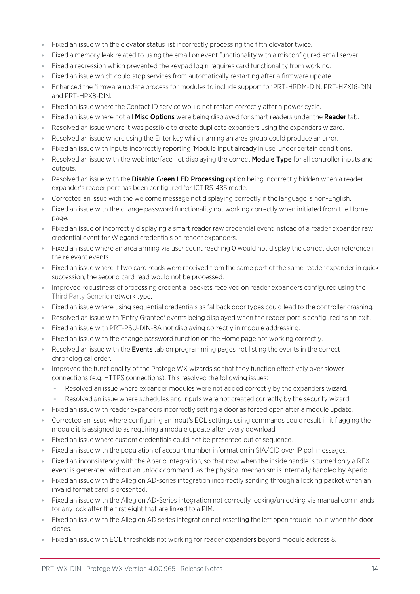- ⦁ Fixed an issue with the elevator status list incorrectly processing the fifth elevator twice.
- ⦁ Fixed a memory leak related to using the email on event functionality with a misconfigured email server.
- ⦁ Fixed a regression which prevented the keypad login requires card functionality from working.
- ⦁ Fixed an issue which could stop services from automatically restarting after a firmware update.
- ⦁ Enhanced the firmware update process for modules to include support for PRT-HRDM-DIN, PRT-HZX16-DIN and PRT-HPX8-DIN.
- ⦁ Fixed an issue where the Contact ID service would not restart correctly after a power cycle.
- Fixed an issue where not all **Misc Options** were being displayed for smart readers under the **Reader** tab.
- ⦁ Resolved an issue where it was possible to create duplicate expanders using the expanders wizard.
- Resolved an issue where using the Enter key while naming an area group could produce an error.
- ⦁ Fixed an issue with inputs incorrectly reporting 'Module Input already in use' under certain conditions.
- Resolved an issue with the web interface not displaying the correct Module Type for all controller inputs and outputs.
- . Resolved an issue with the Disable Green LED Processing option being incorrectly hidden when a reader expander's reader port has been configured for ICT RS-485 mode.
- ⦁ Corrected an issue with the welcome message not displaying correctly if the language is non-English.
- ⦁ Fixed an issue with the change password functionality not working correctly when initiated from the Home page.
- ⦁ Fixed an issue of incorrectly displaying a smart reader raw credential event instead of a reader expander raw credential event for Wiegand credentials on reader expanders.
- ⦁ Fixed an issue where an area arming via user count reaching 0 would not display the correct door reference in the relevant events.
- ⦁ Fixed an issue where if two card reads were received from the same port of the same reader expander in quick succession, the second card read would not be processed.
- ⦁ Improved robustness of processing credential packets received on reader expanders configured using the Third Party Generic network type.
- ⦁ Fixed an issue where using sequential credentials as fallback door types could lead to the controller crashing.
- ⦁ Resolved an issue with 'Entry Granted' events being displayed when the reader port is configured as an exit.
- ⦁ Fixed an issue with PRT-PSU-DIN-8A not displaying correctly in module addressing.
- ⦁ Fixed an issue with the change password function on the Home page not working correctly.
- Resolved an issue with the **Events** tab on programming pages not listing the events in the correct chronological order.
- ⦁ Improved the functionality of the Protege WX wizards so that they function effectively over slower connections (e.g. HTTPS connections). This resolved the following issues:
	- Resolved an issue where expander modules were not added correctly by the expanders wizard.
	- Resolved an issue where schedules and inputs were not created correctly by the security wizard.
- ⦁ Fixed an issue with reader expanders incorrectly setting a door as forced open after a module update.
- ⦁ Corrected an issue where configuring an input's EOL settings using commands could result in it flagging the module it is assigned to as requiring a module update after every download.
- ⦁ Fixed an issue where custom credentials could not be presented out of sequence.
- ⦁ Fixed an issue with the population of account number information in SIA/CID over IP poll messages.
- Fixed an inconsistency with the Aperio integration, so that now when the inside handle is turned only a REX event is generated without an unlock command, as the physical mechanism is internally handled by Aperio.
- ⦁ Fixed an issue with the Allegion AD-series integration incorrectly sending through a locking packet when an invalid format card is presented.
- ⦁ Fixed an issue with the Allegion AD-Series integration not correctly locking/unlocking via manual commands for any lock after the first eight that are linked to a PIM.
- ⦁ Fixed an issue with the Allegion AD series integration not resetting the left open trouble input when the door closes.
- Fixed an issue with EOL thresholds not working for reader expanders beyond module address 8.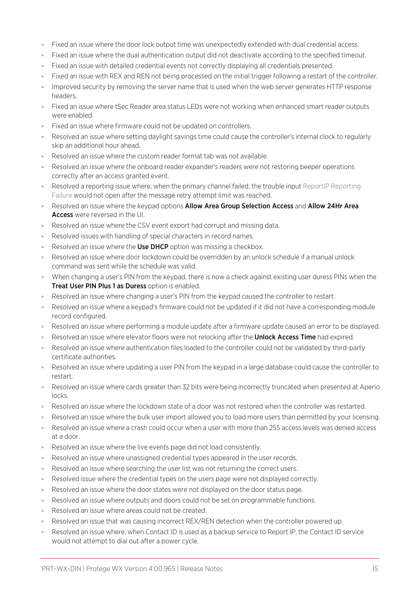- Fixed an issue where the door lock output time was unexpectedly extended with dual credential access.
- ⦁ Fixed an issue where the dual authentication output did not deactivate according to the specified timeout.
- ⦁ Fixed an issue with detailed credential events not correctly displaying all credentials presented.
- ⦁ Fixed an issue with REX and REN not being processed on the initial trigger following a restart of the controller.
- ⦁ Improved security by removing the server name that is used when the web server generates HTTP response headers.
- ⦁ Fixed an issue where tSec Reader area status LEDs were not working when enhanced smart reader outputs were enabled.
- ⦁ Fixed an issue where firmware could not be updated on controllers.
- ⦁ Resolved an issue where setting daylight savings time could cause the controller's internal clock to regularly skip an additional hour ahead.
- Resolved an issue where the custom reader format tab was not available.
- Resolved an issue where the onboard reader expander's readers were not restoring beeper operations correctly after an access granted event.
- Resolved a reporting issue where, when the primary channel failed, the trouble input ReportIP Reporting Failure would not open after the message retry attempt limit was reached.
- Resolved an issue where the keypad options **Allow Area Group Selection Access** and **Allow 24Hr Area** Access were reversed in the UI.
- ⦁ Resolved an issue where the CSV event export had corrupt and missing data.
- ⦁ Resolved issues with handling of special characters in record names.
- Resolved an issue where the Use DHCP option was missing a checkbox.
- ⦁ Resolved an issue where door lockdown could be overridden by an unlock schedule if a manual unlock command was sent while the schedule was valid.
- ⦁ When changing a user's PIN from the keypad, there is now a check against existing user duress PINs when the Treat User PIN Plus 1 as Duress option is enabled.
- ⦁ Resolved an issue where changing a user's PIN from the keypad caused the controller to restart.
- Resolved an issue where a keypad's firmware could not be updated if it did not have a corresponding module record configured.
- ⦁ Resolved an issue where performing a module update after a firmware update caused an error to be displayed.
- Resolved an issue where elevator floors were not relocking after the **Unlock Access Time** had expired.
- ⦁ Resolved an issue where authentication files loaded to the controller could not be validated by third-party certificate authorities.
- ⦁ Resolved an issue where updating a user PIN from the keypad in a large database could cause the controller to restart.
- ⦁ Resolved an issue where cards greater than 32 bits were being incorrectly truncated when presented at Aperio locks.
- ⦁ Resolved an issue where the lockdown state of a door was not restored when the controller was restarted.
- Resolved an issue where the bulk user import allowed you to load more users than permitted by your licensing.
- ⦁ Resolved an issue where a crash could occur when a user with more than 255 access levels was denied access at a door.
- ⦁ Resolved an issue where the live events page did not load consistently.
- Resolved an issue where unassigned credential types appeared in the user records.
- Resolved an issue where searching the user list was not returning the correct users.
- Resolved issue where the credential types on the users page were not displayed correctly.
- ⦁ Resolved an issue where the door states were not displayed on the door status page.
- Resolved an issue where outputs and doors could not be set on programmable functions.
- Resolved an issue where areas could not be created.
- ⦁ Resolved an issue that was causing incorrect REX/REN detection when the controller powered up.
- Resolved an issue where, when Contact ID is used as a backup service to Report IP, the Contact ID service would not attempt to dial out after a power cycle.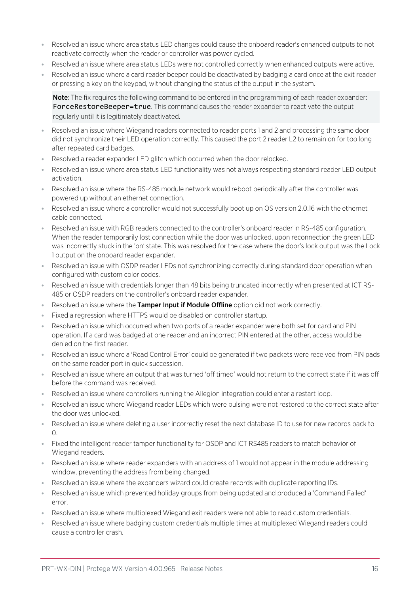- Resolved an issue where area status LED changes could cause the onboard reader's enhanced outputs to not reactivate correctly when the reader or controller was power cycled.
- Resolved an issue where area status LEDs were not controlled correctly when enhanced outputs were active.
- Resolved an issue where a card reader beeper could be deactivated by badging a card once at the exit reader or pressing a key on the keypad, without changing the status of the output in the system.

Note: The fix requires the following command to be entered in the programming of each reader expander: ForceRestoreBeeper=true. This command causes the reader expander to reactivate the output regularly until it is legitimately deactivated.

- ⦁ Resolved an issue where Wiegand readers connected to reader ports 1 and 2 and processing the same door did not synchronize their LED operation correctly. This caused the port 2 reader L2 to remain on for too long after repeated card badges.
- Resolved a reader expander LED glitch which occurred when the door relocked.
- ⦁ Resolved an issue where area status LED functionality was not always respecting standard reader LED output activation.
- ⦁ Resolved an issue where the RS-485 module network would reboot periodically after the controller was powered up without an ethernet connection.
- ⦁ Resolved an issue where a controller would not successfully boot up on OS version 2.0.16 with the ethernet cable connected.
- ⦁ Resolved an issue with RGB readers connected to the controller's onboard reader in RS-485 configuration. When the reader temporarily lost connection while the door was unlocked, upon reconnection the green LED was incorrectly stuck in the 'on' state. This was resolved for the case where the door's lock output was the Lock 1 output on the onboard reader expander.
- Resolved an issue with OSDP reader LEDs not synchronizing correctly during standard door operation when configured with custom color codes.
- Resolved an issue with credentials longer than 48 bits being truncated incorrectly when presented at ICT RS-485 or OSDP readers on the controller's onboard reader expander.
- Resolved an issue where the Tamper Input if Module Offline option did not work correctly.
- ⦁ Fixed a regression where HTTPS would be disabled on controller startup.
- Resolved an issue which occurred when two ports of a reader expander were both set for card and PIN operation. If a card was badged at one reader and an incorrect PIN entered at the other, access would be denied on the first reader.
- ⦁ Resolved an issue where a 'Read Control Error' could be generated if two packets were received from PIN pads on the same reader port in quick succession.
- ⦁ Resolved an issue where an output that was turned 'off timed' would not return to the correct state if it was off before the command was received.
- ⦁ Resolved an issue where controllers running the Allegion integration could enter a restart loop.
- ⦁ Resolved an issue where Wiegand reader LEDs which were pulsing were not restored to the correct state after the door was unlocked.
- ⦁ Resolved an issue where deleting a user incorrectly reset the next database ID to use for new records back to  $\Omega$ .
- Fixed the intelligent reader tamper functionality for OSDP and ICT RS485 readers to match behavior of Wiegand readers.
- ⦁ Resolved an issue where reader expanders with an address of 1 would not appear in the module addressing window, preventing the address from being changed.
- Resolved an issue where the expanders wizard could create records with duplicate reporting IDs.
- Resolved an issue which prevented holiday groups from being updated and produced a 'Command Failed' error.
- ⦁ Resolved an issue where multiplexed Wiegand exit readers were not able to read custom credentials.
- ⦁ Resolved an issue where badging custom credentials multiple times at multiplexed Wiegand readers could cause a controller crash.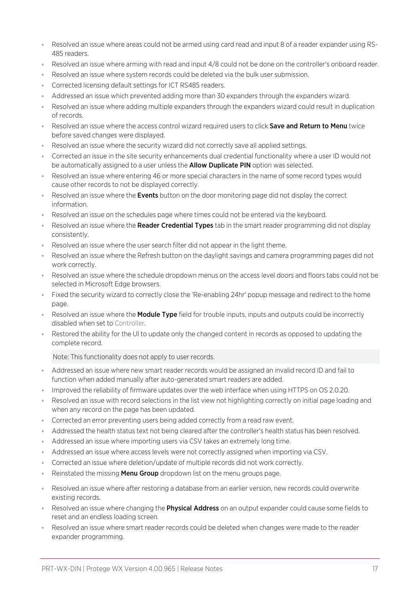- Resolved an issue where areas could not be armed using card read and input 8 of a reader expander using RS-485 readers.
- ⦁ Resolved an issue where arming with read and input 4/8 could not be done on the controller's onboard reader.
- ⦁ Resolved an issue where system records could be deleted via the bulk user submission.
- ⦁ Corrected licensing default settings for ICT RS485 readers.
- ⦁ Addressed an issue which prevented adding more than 30 expanders through the expanders wizard.
- ⦁ Resolved an issue where adding multiple expanders through the expanders wizard could result in duplication of records.
- Resolved an issue where the access control wizard required users to click Save and Return to Menu twice before saved changes were displayed.
- ⦁ Resolved an issue where the security wizard did not correctly save all applied settings.
- ⦁ Corrected an issue in the site security enhancements dual credential functionality where a user ID would not be automatically assigned to a user unless the **Allow Duplicate PIN** option was selected.
- Resolved an issue where entering 46 or more special characters in the name of some record types would cause other records to not be displayed correctly.
- Resolved an issue where the **Events** button on the door monitoring page did not display the correct information.
- ⦁ Resolved an issue on the schedules page where times could not be entered via the keyboard.
- **•** Resolved an issue where the **Reader Credential Types** tab in the smart reader programming did not display consistently.
- ⦁ Resolved an issue where the user search filter did not appear in the light theme.
- Resolved an issue where the Refresh button on the daylight savings and camera programming pages did not work correctly.
- ⦁ Resolved an issue where the schedule dropdown menus on the access level doors and floors tabs could not be selected in Microsoft Edge browsers.
- ⦁ Fixed the security wizard to correctly close the 'Re-enabling 24hr' popup message and redirect to the home page.
- Resolved an issue where the Module Type field for trouble inputs, inputs and outputs could be incorrectly disabled when set to Controller.
- Restored the ability for the UI to update only the changed content in records as opposed to updating the complete record.

Note: This functionality does not apply to user records.

- ⦁ Addressed an issue where new smart reader records would be assigned an invalid record ID and fail to function when added manually after auto-generated smart readers are added.
- ⦁ Improved the reliability of firmware updates over the web interface when using HTTPS on OS 2.0.20.
- ⦁ Resolved an issue with record selections in the list view not highlighting correctly on initial page loading and when any record on the page has been updated.
- ⦁ Corrected an error preventing users being added correctly from a read raw event.
- ⦁ Addressed the health status text not being cleared after the controller's health status has been resolved.
- Addressed an issue where importing users via CSV takes an extremely long time.
- Addressed an issue where access levels were not correctly assigned when importing via CSV.
- ⦁ Corrected an issue where deletion/update of multiple records did not work correctly.
- Exercistated the missing **Menu Group** dropdown list on the menu groups page.
- ⦁ Resolved an issue where after restoring a database from an earlier version, new records could overwrite existing records.
- Resolved an issue where changing the **Physical Address** on an output expander could cause some fields to reset and an endless loading screen.
- ⦁ Resolved an issue where smart reader records could be deleted when changes were made to the reader expander programming.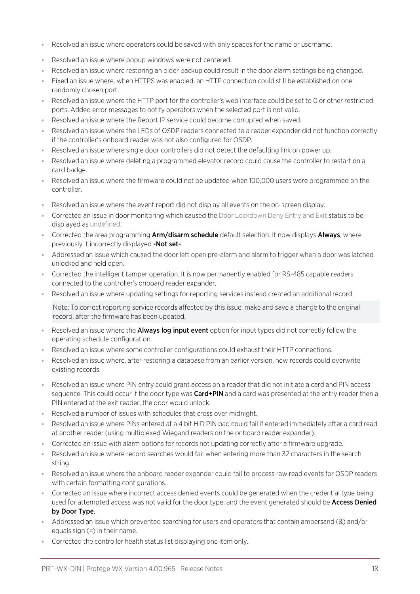- Resolved an issue where operators could be saved with only spaces for the name or username.
- ⦁ Resolved an issue where popup windows were not centered.
- ⦁ Resolved an issue where restoring an older backup could result in the door alarm settings being changed.
- Fixed an issue where, when HTTPS was enabled, an HTTP connection could still be established on one randomly chosen port.
- ⦁ Resolved an issue where the HTTP port for the controller's web interface could be set to 0 or other restricted ports. Added error messages to notify operators when the selected port is not valid.
- Resolved an issue where the Report IP service could become corrupted when saved.
- Resolved an issue where the LEDs of OSDP readers connected to a reader expander did not function correctly if the controller's onboard reader was not also configured for OSDP.
- Resolved an issue where single door controllers did not detect the defaulting link on power up.
- ⦁ Resolved an issue where deleting a programmed elevator record could cause the controller to restart on a card badge.
- ⦁ Resolved an issue where the firmware could not be updated when 100,000 users were programmed on the controller.
- ⦁ Resolved an issue where the event report did not display all events on the on-screen display.
- ⦁ Corrected an issue in door monitoring which caused the Door Lockdown Deny Entry and Exit status to be displayed as undefined.
- **Corrected the area programming Arm/disarm schedule** default selection. It now displays **Always**, where previously it incorrectly displayed -Not set-.
- Addressed an issue which caused the door left open pre-alarm and alarm to trigger when a door was latched unlocked and held open.
- ⦁ Corrected the intelligent tamper operation. It is now permanently enabled for RS-485 capable readers connected to the controller's onboard reader expander.
- Resolved an issue where updating settings for reporting services instead created an additional record.

Note: To correct reporting service records affected by this issue, make and save a change to the original record, after the firmware has been updated.

- Resolved an issue where the **Always log input event** option for input types did not correctly follow the operating schedule configuration.
- Resolved an issue where some controller configurations could exhaust their HTTP connections.
- Resolved an issue where, after restoring a database from an earlier version, new records could overwrite existing records.
- ⦁ Resolved an issue where PIN entry could grant access on a reader that did not initiate a card and PIN access sequence. This could occur if the door type was **Card+PIN** and a card was presented at the entry reader then a PIN entered at the exit reader, the door would unlock.
- ⦁ Resolved a number of issues with schedules that cross over midnight.
- Resolved an issue where PINs entered at a 4 bit HID PIN pad could fail if entered immediately after a card read at another reader (using multiplexed Wiegand readers on the onboard reader expander).
- ⦁ Corrected an issue with alarm options for records not updating correctly after a firmware upgrade.
- ⦁ Resolved an issue where record searches would fail when entering more than 32 characters in the search string.
- ⦁ Resolved an issue where the onboard reader expander could fail to process raw read events for OSDP readers with certain formatting configurations.
- ⦁ Corrected an issue where incorrect access denied events could be generated when the credential type being used for attempted access was not valid for the door type, and the event generated should be **Access Denied** by Door Type.
- Addressed an issue which prevented searching for users and operators that contain ampersand (&) and/or equals sign (=) in their name.
- ⦁ Corrected the controller health status list displaying one item only.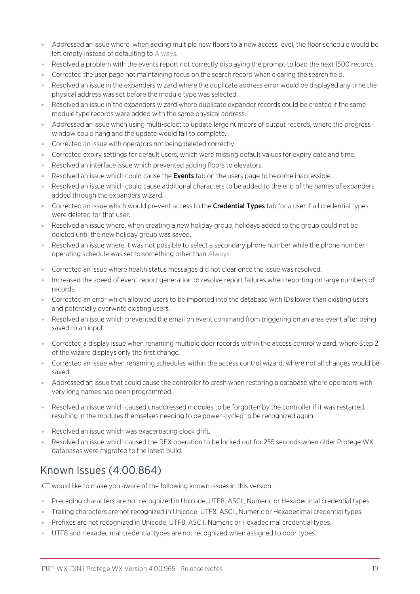- ⦁ Addressed an issue where, when adding multiple new floors to a new access level, the floor schedule would be left empty instead of defaulting to Always.
- ⦁ Resolved a problem with the events report not correctly displaying the prompt to load the next 1500 records.
- ⦁ Corrected the user page not maintaining focus on the search record when clearing the search field.
- ⦁ Resolved an issue in the expanders wizard where the duplicate address error would be displayed any time the physical address was set before the module type was selected.
- Resolved an issue in the expanders wizard where duplicate expander records could be created if the same module type records were added with the same physical address.
- ⦁ Addressed an issue when using multi-select to update large numbers of output records, where the progress window could hang and the update would fail to complete.
- ⦁ Corrected an issue with operators not being deleted correctly.
- ⦁ Corrected expiry settings for default users, which were missing default values for expiry date and time.
- ⦁ Resolved an interface issue which prevented adding floors to elevators.
- Resolved an issue which could cause the **Events** tab on the users page to become inaccessible.
- ⦁ Resolved an issue which could cause additional characters to be added to the end of the names of expanders added through the expanders wizard.
- Corrected an issue which would prevent access to the **Credential Types** tab for a user if all credential types were deleted for that user.
- ⦁ Resolved an issue where, when creating a new holiday group, holidays added to the group could not be deleted until the new holiday group was saved.
- ⦁ Resolved an issue where it was not possible to select a secondary phone number while the phone number operating schedule was set to something other than Always.
- ⦁ Corrected an issue where health status messages did not clear once the issue was resolved.
- ⦁ Increased the speed of event report generation to resolve report failures when reporting on large numbers of records.
- ⦁ Corrected an error which allowed users to be imported into the database with IDs lower than existing users and potentially overwrite existing users.
- ⦁ Resolved an issue which prevented the email on event command from triggering on an area event after being saved to an input.
- ⦁ Corrected a display issue when renaming multiple door records within the access control wizard, where Step 2 of the wizard displays only the first change.
- ⦁ Corrected an issue when renaming schedules within the access control wizard, where not all changes would be saved.
- ⦁ Addressed an issue that could cause the controller to crash when restoring a database where operators with very long names had been programmed.
- ⦁ Resolved an issue which caused unaddressed modules to be forgotten by the controller if it was restarted, resulting in the modules themselves needing to be power-cycled to be recognized again.
- ⦁ Resolved an issue which was exacerbating clock drift.
- Resolved an issue which caused the REX operation to be locked out for 255 seconds when older Protege WX databases were migrated to the latest build.

# Known Issues (4.00.864)

ICT would like to make you aware of the following known issues in this version:

- ⦁ Preceding characters are not recognized in Unicode, UTF8, ASCII, Numeric or Hexadecimal credential types.
- ⦁ Trailing characters are not recognized in Unicode, UTF8, ASCII, Numeric or Hexadecimal credential types.
- ⦁ Prefixes are not recognized in Unicode, UTF8, ASCII, Numeric or Hexadecimal credential types.
- ⦁ UTF8 and Hexadecimal credential types are not recognized when assigned to door types.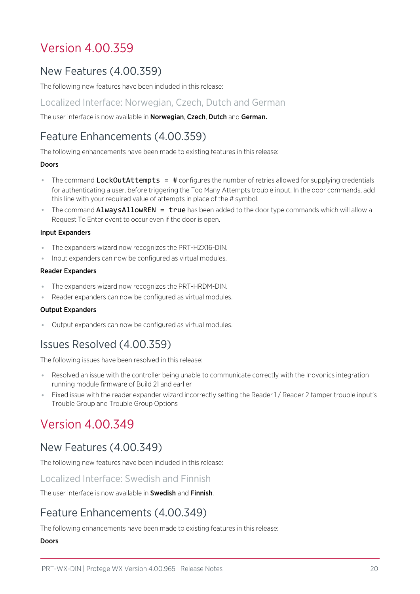# Version 4.00.359

# New Features (4.00.359)

The following new features have been included in this release:

## Localized Interface: Norwegian, Czech, Dutch and German

The user interface is now available in Norwegian, Czech, Dutch and German.

# Feature Enhancements (4.00.359)

The following enhancements have been made to existing features in this release:

#### Doors

- The command LockOutAttempts = # configures the number of retries allowed for supplying credentials for authenticating a user, before triggering the Too Many Attempts trouble input. In the door commands, add this line with your required value of attempts in place of the # symbol.
- **The command AlwaysAllowREN = true** has been added to the door type commands which will allow a Request To Enter event to occur even if the door is open.

#### Input Expanders

- ⦁ The expanders wizard now recognizes the PRT-HZX16-DIN.
- ⦁ Input expanders can now be configured as virtual modules.

#### Reader Expanders

- ⦁ The expanders wizard now recognizes the PRT-HRDM-DIN.
- ⦁ Reader expanders can now be configured as virtual modules.

### Output Expanders

⦁ Output expanders can now be configured as virtual modules.

# Issues Resolved (4.00.359)

The following issues have been resolved in this release:

- ⦁ Resolved an issue with the controller being unable to communicate correctly with the Inovonics integration running module firmware of Build 21 and earlier
- Fixed issue with the reader expander wizard incorrectly setting the Reader 1/ Reader 2 tamper trouble input's Trouble Group and Trouble Group Options

# Version 4.00.349

# New Features (4.00.349)

The following new features have been included in this release:

### Localized Interface: Swedish and Finnish

The user interface is now available in Swedish and Finnish.

# Feature Enhancements (4.00.349)

The following enhancements have been made to existing features in this release:

### Doors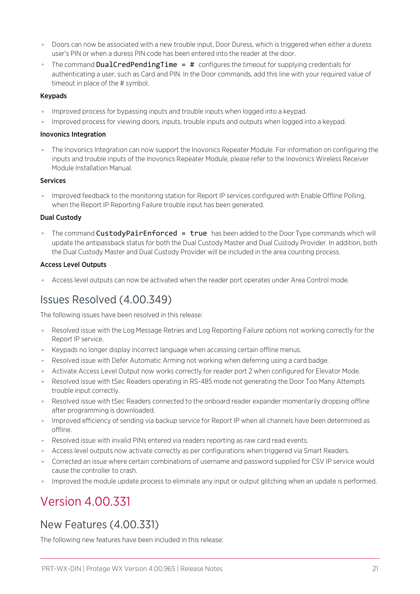- ⦁ Doors can now be associated with a new trouble input, Door Duress, which is triggered when either a duress user's PIN or when a duress PIN code has been entered into the reader at the door.
- The command DualCredPendingTime = # configures the timeout for supplying credentials for authenticating a user, such as Card and PIN. In the Door commands, add this line with your required value of timeout in place of the # symbol.

#### Keypads

- ⦁ Improved process for bypassing inputs and trouble inputs when logged into a keypad.
- ⦁ Improved process for viewing doors, inputs, trouble inputs and outputs when logged into a keypad.

#### Inovonics Integration

⦁ The Inovonics Integration can now support the Inovonics Repeater Module. For information on configuring the inputs and trouble inputs of the Inovonics Repeater Module, please refer to the Inovonics Wireless Receiver Module Installation Manual.

### **Services**

⦁ Improved feedback to the monitoring station for Report IP services configured with Enable Offline Polling, when the Report IP Reporting Failure trouble input has been generated.

### Dual Custody

**The command CustodyPairEnforced = true** has been added to the Door Type commands which will update the antipassback status for both the Dual Custody Master and Dual Custody Provider. In addition, both the Dual Custody Master and Dual Custody Provider will be included in the area counting process.

#### Access Level Outputs

⦁ Access level outputs can now be activated when the reader port operates under Area Control mode.

# Issues Resolved (4.00.349)

The following issues have been resolved in this release:

- ⦁ Resolved issue with the Log Message Retries and Log Reporting Failure options not working correctly for the Report IP service.
- ⦁ Keypads no longer display incorrect language when accessing certain offline menus.
- Resolved issue with Defer Automatic Arming not working when deferring using a card badge.
- ⦁ Activate Access Level Output now works correctly for reader port 2 when configured for Elevator Mode.
- ⦁ Resolved issue with tSec Readers operating in RS-485 mode not generating the Door Too Many Attempts trouble input correctly.
- ⦁ Resolved issue with tSec Readers connected to the onboard reader expander momentarily dropping offline after programming is downloaded.
- ⦁ Improved efficiency of sending via backup service for Report IP when all channels have been determined as offline.
- ⦁ Resolved issue with invalid PINs entered via readers reporting as raw card read events.
- ⦁ Access level outputs now activate correctly as per configurations when triggered via Smart Readers.
- ⦁ Corrected an issue where certain combinations of username and password supplied for CSV IP service would cause the controller to crash.
- ⦁ Improved the module update process to eliminate any input or output glitching when an update is performed.

# Version 4.00.331

# New Features (4.00.331)

The following new features have been included in this release: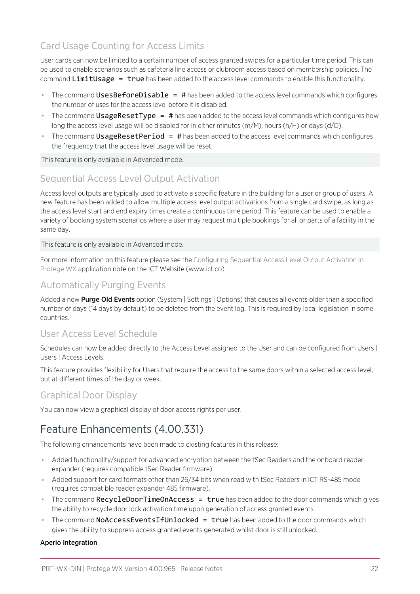## Card Usage Counting for Access Limits

User cards can now be limited to a certain number of access granted swipes for a particular time period. This can be used to enable scenarios such as cafeteria line access or clubroom access based on membership policies. The command LimitUsage  $=$  true has been added to the access level commands to enable this functionality.

- The command UsesBeforeDisable =  $\#$  has been added to the access level commands which configures the number of uses for the access level before it is disabled.
- The command UsageResetType = # has been added to the access level commands which configures how long the access level usage will be disabled for in either minutes (m/M), hours (h/H) or days (d/D).
- The command UsageResetPeriod = # has been added to the access level commands which configures the frequency that the access level usage will be reset.

This feature is only available in Advanced mode.

## Sequential Access Level Output Activation

Access level outputs are typically used to activate a specific feature in the building for a user or group of users. A new feature has been added to allow multiple access level output activations from a single card swipe, as long as the access level start and end expiry times create a continuous time period. This feature can be used to enable a variety of booking system scenarios where a user may request multiple bookings for all or parts of a facility in the same day.

This feature is only available in Advanced mode.

For more information on this feature please see the Configuring Sequential Access Level Output Activation in Protege WX application note on the ICT Website (www.ict.co).

## Automatically Purging Events

Added a new Purge Old Events option (System | Settings | Options) that causes all events older than a specified number of days (14 days by default) to be deleted from the event log. This is required by local legislation in some countries.

## User Access Level Schedule

Schedules can now be added directly to the Access Level assigned to the User and can be configured from Users | Users | Access Levels.

This feature provides flexibility for Users that require the access to the same doors within a selected access level, but at different times of the day or week.

## Graphical Door Display

You can now view a graphical display of door access rights per user.

# Feature Enhancements (4.00.331)

The following enhancements have been made to existing features in this release:

- ⦁ Added functionality/support for advanced encryption between the tSec Readers and the onboard reader expander (requires compatible tSec Reader firmware).
- ⦁ Added support for card formats other than 26/34 bits when read with tSec Readers in ICT RS-485 mode (requires compatible reader expander 485 firmware).
- The command RecycleDoorTimeOnAccess = true has been added to the door commands which gives the ability to recycle door lock activation time upon generation of access granted events.
- The command **NoAccessEventsIfUnlocked = true** has been added to the door commands which gives the ability to suppress access granted events generated whilst door is still unlocked.

### Aperio Integration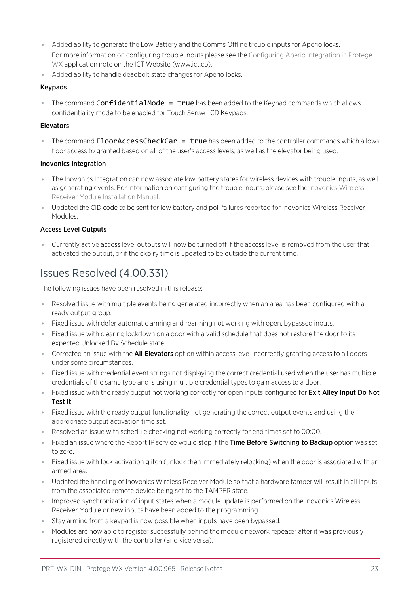- ⦁ Added ability to generate the Low Battery and the Comms Offline trouble inputs for Aperio locks. For more information on configuring trouble inputs please see the Configuring Aperio Integration in Protege WX application note on the ICT Website (www.ict.co).
- ⦁ Added ability to handle deadbolt state changes for Aperio locks.

#### Keypads

• The command ConfidentialMode = true has been added to the Keypad commands which allows confidentiality mode to be enabled for Touch Sense LCD Keypads.

#### Elevators

The command FloorAccessCheckCar  $=$  true has been added to the controller commands which allows floor access to granted based on all of the user's access levels, as well as the elevator being used.

#### Inovonics Integration

- ⦁ The Inovonics Integration can now associate low battery states for wireless devices with trouble inputs, as well as generating events. For information on configuring the trouble inputs, please see the Inovonics Wireless Receiver Module Installation Manual.
- ⦁ Updated the CID code to be sent for low battery and poll failures reported for Inovonics Wireless Receiver Modules.

### Access Level Outputs

⦁ Currently active access level outputs will now be turned off if the access level is removed from the user that activated the output, or if the expiry time is updated to be outside the current time.

## Issues Resolved (4.00.331)

The following issues have been resolved in this release:

- ⦁ Resolved issue with multiple events being generated incorrectly when an area has been configured with a ready output group.
- ⦁ Fixed issue with defer automatic arming and rearming not working with open, bypassed inputs.
- ⦁ Fixed issue with clearing lockdown on a door with a valid schedule that does not restore the door to its expected Unlocked By Schedule state.
- **Corrected an issue with the All Elevators** option within access level incorrectly granting access to all doors under some circumstances.
- ⦁ Fixed issue with credential event strings not displaying the correct credential used when the user has multiple credentials of the same type and is using multiple credential types to gain access to a door.
- Fixed issue with the ready output not working correctly for open inputs configured for **Exit Alley Input Do Not** Test It.
- ⦁ Fixed issue with the ready output functionality not generating the correct output events and using the appropriate output activation time set.
- ⦁ Resolved an issue with schedule checking not working correctly for end times set to 00:00.
- Fixed an issue where the Report IP service would stop if the Time Before Switching to Backup option was set to zero.
- ⦁ Fixed issue with lock activation glitch (unlock then immediately relocking) when the door is associated with an armed area.
- ⦁ Updated the handling of Inovonics Wireless Receiver Module so that a hardware tamper will result in all inputs from the associated remote device being set to the TAMPER state.
- ⦁ Improved synchronization of input states when a module update is performed on the Inovonics Wireless Receiver Module or new inputs have been added to the programming.
- ⦁ Stay arming from a keypad is now possible when inputs have been bypassed.
- ⦁ Modules are now able to register successfully behind the module network repeater after it was previously registered directly with the controller (and vice versa).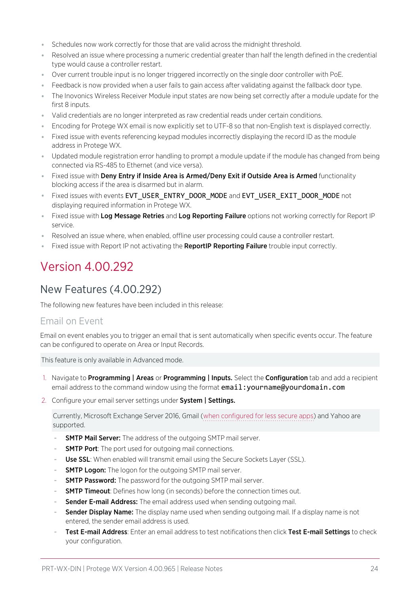- ⦁ Schedules now work correctly for those that are valid across the midnight threshold.
- ⦁ Resolved an issue where processing a numeric credential greater than half the length defined in the credential type would cause a controller restart.
- ⦁ Over current trouble input is no longer triggered incorrectly on the single door controller with PoE.
- ⦁ Feedback is now provided when a user fails to gain access after validating against the fallback door type.
- ⦁ The Inovonics Wireless Receiver Module input states are now being set correctly after a module update for the first 8 inputs.
- ⦁ Valid credentials are no longer interpreted as raw credential reads under certain conditions.
- ⦁ Encoding for Protege WX email is now explicitly set to UTF-8 so that non-English text is displayed correctly.
- ⦁ Fixed issue with events referencing keypad modules incorrectly displaying the record ID as the module address in Protege WX.
- ⦁ Updated module registration error handling to prompt a module update if the module has changed from being connected via RS-485 to Ethernet (and vice versa).
- Fixed issue with Deny Entry if Inside Area is Armed/Deny Exit if Outside Area is Armed functionality blocking access if the area is disarmed but in alarm.
- ⦁ Fixed issues with events EVT\_USER\_ENTRY\_DOOR\_MODE and EVT\_USER\_EXIT\_DOOR\_MODE not displaying required information in Protege WX.
- Fixed issue with Log Message Retries and Log Reporting Failure options not working correctly for Report IP service.
- ⦁ Resolved an issue where, when enabled, offline user processing could cause a controller restart.
- Fixed issue with Report IP not activating the **ReportIP Reporting Failure** trouble input correctly.

# Version 4.00.292

## New Features (4.00.292)

The following new features have been included in this release:

### Email on Event

Email on event enables you to trigger an email that is sent automatically when specific events occur. The feature can be configured to operate on Area or Input Records.

This feature is only available in Advanced mode.

- 1. Navigate to **Programming | Areas** or **Programming | Inputs.** Select the **Configuration** tab and add a recipient email address to the command window using the format email: yourname@yourdomain.com
- 2. Configure your email server settings under System | Settings.

Currently, Microsoft Exchange Server 2016, Gmail (when [configured](https://support.google.com/accounts/answer/6010255?hl=en) for less secure apps) and Yahoo are supported.

- **SMTP Mail Server:** The address of the outgoing SMTP mail server.
- **SMTP Port:** The port used for outgoing mail connections.
- Use SSL: When enabled will transmit email using the Secure Sockets Layer (SSL).
- **SMTP Logon:** The logon for the outgoing SMTP mail server.
- **SMTP Password:** The password for the outgoing SMTP mail server.
- **SMTP Timeout:** Defines how long (in seconds) before the connection times out.
- Sender E-mail Address: The email address used when sending outgoing mail.
- Sender Display Name: The display name used when sending outgoing mail. If a display name is not entered, the sender email address is used.
- Test E-mail Address: Enter an email address to test notifications then click Test E-mail Settings to check your configuration.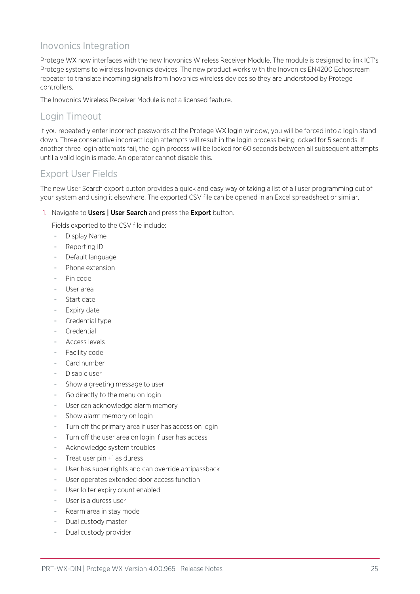## Inovonics Integration

Protege WX now interfaces with the new Inovonics Wireless Receiver Module. The module is designed to link ICT's Protege systems to wireless Inovonics devices. The new product works with the Inovonics EN4200 Echostream repeater to translate incoming signals from Inovonics wireless devices so they are understood by Protege controllers.

The Inovonics Wireless Receiver Module is not a licensed feature.

## Login Timeout

If you repeatedly enter incorrect passwords at the Protege WX login window, you will be forced into a login stand down. Three consecutive incorrect login attempts will result in the login process being locked for 5 seconds. If another three login attempts fail, the login process will be locked for 60 seconds between all subsequent attempts until a valid login is made. An operator cannot disable this.

## Export User Fields

The new User Search export button provides a quick and easy way of taking a list of all user programming out of your system and using it elsewhere. The exported CSV file can be opened in an Excel spreadsheet or similar.

1. Navigate to Users | User Search and press the Export button.

Fields exported to the CSV file include:

- Display Name
- Reporting ID
- Default language
- Phone extension
- Pin code
- User area
- Start date
- Expiry date
- Credential type
- **Credential**
- Access levels
- Facility code
- Card number
- Disable user
- Show a greeting message to user
- Go directly to the menu on login
- User can acknowledge alarm memory
- Show alarm memory on login
- Turn off the primary area if user has access on login
- Turn off the user area on login if user has access
- Acknowledge system troubles
- Treat user pin +1 as duress
- User has super rights and can override antipassback
- User operates extended door access function
- User loiter expiry count enabled
- User is a duress user
- Rearm area in stay mode
- Dual custody master
- Dual custody provider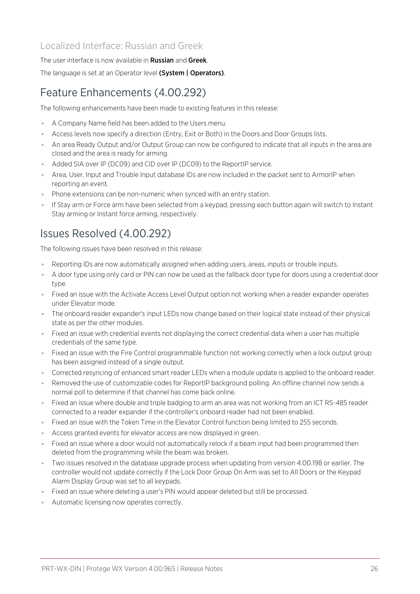## Localized Interface: Russian and Greek

The user interface is now available in **Russian** and **Greek**.

The language is set at an Operator level (System | Operators).

# Feature Enhancements (4.00.292)

The following enhancements have been made to existing features in this release:

- ⦁ A Company Name field has been added to the Users menu.
- ⦁ Access levels now specify a direction (Entry, Exit or Both) in the Doors and Door Groups lists.
- ⦁ An area Ready Output and/or Output Group can now be configured to indicate that all inputs in the area are closed and the area is ready for arming.
- ⦁ Added SIA over IP (DC09) and CID over IP (DC09) to the ReportIP service.
- ⦁ Area, User, Input and Trouble Input database IDs are now included in the packet sent to ArmorIP when reporting an event.
- ⦁ Phone extensions can be non-numeric when synced with an entry station.
- ⦁ If Stay arm or Force arm have been selected from a keypad, pressing each button again will switch to Instant Stay arming or Instant force arming, respectively.

# Issues Resolved (4.00.292)

The following issues have been resolved in this release:

- ⦁ Reporting IDs are now automatically assigned when adding users, areas, inputs or trouble inputs.
- ⦁ A door type using only card or PIN can now be used as the fallback door type for doors using a credential door type.
- ⦁ Fixed an issue with the Activate Access Level Output option not working when a reader expander operates under Elevator mode.
- ⦁ The onboard reader expander's input LEDs now change based on their logical state instead of their physical state as per the other modules.
- ⦁ Fixed an issue with credential events not displaying the correct credential data when a user has multiple credentials of the same type.
- ⦁ Fixed an issue with the Fire Control programmable function not working correctly when a lock output group has been assigned instead of a single output.
- ⦁ Corrected resyncing of enhanced smart reader LEDs when a module update is applied to the onboard reader.
- ⦁ Removed the use of customizable codes for ReportIP background polling. An offline channel now sends a normal poll to determine if that channel has come back online.
- ⦁ Fixed an issue where double and triple badging to arm an area was not working from an ICT RS-485 reader connected to a reader expander if the controller's onboard reader had not been enabled.
- ⦁ Fixed an issue with the Token Time in the Elevator Control function being limited to 255 seconds.
- ⦁ Access granted events for elevator access are now displayed in green.
- Fixed an issue where a door would not automatically relock if a beam input had been programmed then deleted from the programming while the beam was broken.
- ⦁ Two issues resolved in the database upgrade process when updating from version 4.00.198 or earlier. The controller would not update correctly if the Lock Door Group On Arm was set to All Doors or the Keypad Alarm Display Group was set to all keypads.
- ⦁ Fixed an issue where deleting a user's PIN would appear deleted but still be processed.
- ⦁ Automatic licensing now operates correctly.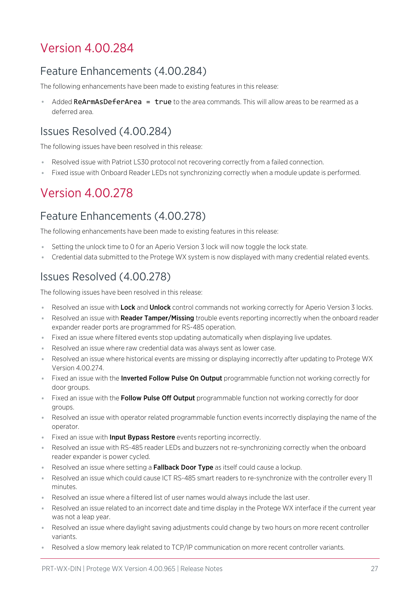# Version 4.00.284

# Feature Enhancements (4.00.284)

The following enhancements have been made to existing features in this release:

Added ReArmAsDeferArea =  $true$  to the area commands. This will allow areas to be rearmed as a deferred area.

## Issues Resolved (4.00.284)

The following issues have been resolved in this release:

- ⦁ Resolved issue with Patriot LS30 protocol not recovering correctly from a failed connection.
- ⦁ Fixed issue with Onboard Reader LEDs not synchronizing correctly when a module update is performed.

# Version 4.00.278

# Feature Enhancements (4.00.278)

The following enhancements have been made to existing features in this release:

- Setting the unlock time to 0 for an Aperio Version 3 lock will now toggle the lock state.
- ⦁ Credential data submitted to the Protege WX system is now displayed with many credential related events.

# Issues Resolved (4.00.278)

The following issues have been resolved in this release:

- Resolved an issue with Lock and Unlock control commands not working correctly for Aperio Version 3 locks.
- Resolved an issue with **Reader Tamper/Missing** trouble events reporting incorrectly when the onboard reader expander reader ports are programmed for RS-485 operation.
- ⦁ Fixed an issue where filtered events stop updating automatically when displaying live updates.
- ⦁ Resolved an issue where raw credential data was always sent as lower case.
- ⦁ Resolved an issue where historical events are missing or displaying incorrectly after updating to Protege WX Version 4.00.274.
- Fixed an issue with the Inverted Follow Pulse On Output programmable function not working correctly for door groups.
- Fixed an issue with the Follow Pulse Off Output programmable function not working correctly for door groups.
- ⦁ Resolved an issue with operator related programmable function events incorrectly displaying the name of the operator.
- Fixed an issue with **Input Bypass Restore** events reporting incorrectly.
- ⦁ Resolved an issue with RS-485 reader LEDs and buzzers not re-synchronizing correctly when the onboard reader expander is power cycled.
- **Resolved an issue where setting a Fallback Door Type as itself could cause a lockup.**
- ⦁ Resolved an issue which could cause ICT RS-485 smart readers to re-synchronize with the controller every 11 minutes.
- ⦁ Resolved an issue where a filtered list of user names would always include the last user.
- ⦁ Resolved an issue related to an incorrect date and time display in the Protege WX interface if the current year was not a leap year.
- ⦁ Resolved an issue where daylight saving adjustments could change by two hours on more recent controller variants.
- ⦁ Resolved a slow memory leak related to TCP/IP communication on more recent controller variants.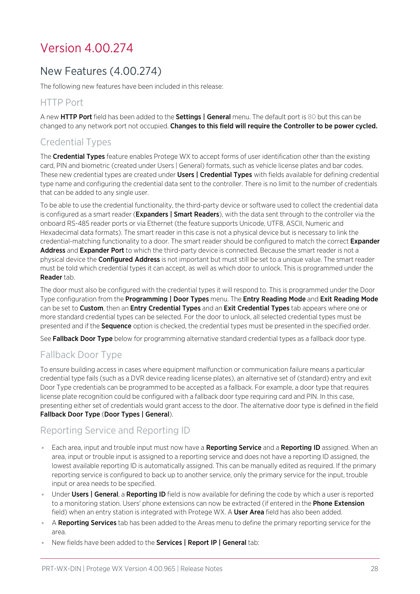# Version 4.00.274

# New Features (4.00.274)

The following new features have been included in this release:

## HTTP Port

A new HTTP Port field has been added to the Settings | General menu. The default port is 80 but this can be changed to any network port not occupied. Changes to this field will require the Controller to be power cycled.

## Credential Types

The Credential Types feature enables Protege WX to accept forms of user identification other than the existing card, PIN and biometric (created under Users | General) formats, such as vehicle license plates and bar codes. These new credential types are created under **Users | Credential Types** with fields available for defining credential type name and configuring the credential data sent to the controller. There is no limit to the number of credentials that can be added to any single user.

To be able to use the credential functionality, the third-party device or software used to collect the credential data is configured as a smart reader (Expanders | Smart Readers), with the data sent through to the controller via the onboard RS-485 reader ports or via Ethernet (the feature supports Unicode, UTF8, ASCII, Numeric and Hexadecimal data formats). The smart reader in this case is not a physical device but is necessary to link the credential-matching functionality to a door. The smart reader should be configured to match the correct **Expander** Address and Expander Port to which the third-party device is connected. Because the smart reader is not a physical device the **Configured Address** is not important but must still be set to a unique value. The smart reader must be told which credential types it can accept, as well as which door to unlock. This is programmed under the Reader tab.

The door must also be configured with the credential types it will respond to. This is programmed under the Door Type configuration from the Programming | Door Types menu. The Entry Reading Mode and Exit Reading Mode can be set to Custom, then an Entry Credential Types and an Exit Credential Types tab appears where one or more standard credential types can be selected. For the door to unlock, all selected credential types must be presented and if the **Sequence** option is checked, the credential types must be presented in the specified order.

See Fallback Door Type below for programming alternative standard credential types as a fallback door type.

## Fallback Door Type

To ensure building access in cases where equipment malfunction or communication failure means a particular credential type fails (such as a DVR device reading license plates), an alternative set of (standard) entry and exit Door Type credentials can be programmed to be accepted as a fallback. For example, a door type that requires license plate recognition could be configured with a fallback door type requiring card and PIN. In this case, presenting either set of credentials would grant access to the door. The alternative door type is defined in the field Fallback Door Type (Door Types | General).

## Reporting Service and Reporting ID

- Each area, input and trouble input must now have a Reporting Service and a Reporting ID assigned. When an area, input or trouble input is assigned to a reporting service and does not have a reporting ID assigned, the lowest available reporting ID is automatically assigned. This can be manually edited as required. If the primary reporting service is configured to back up to another service, only the primary service for the input, trouble input or area needs to be specified.
- **Under Users | General, a Reporting ID** field is now available for defining the code by which a user is reported to a monitoring station. Users' phone extensions can now be extracted (if entered in the Phone Extension field) when an entry station is integrated with Protege WX. A User Area field has also been added.
- A Reporting Services tab has been added to the Areas menu to define the primary reporting service for the area.
- New fields have been added to the **Services | Report IP | General** tab: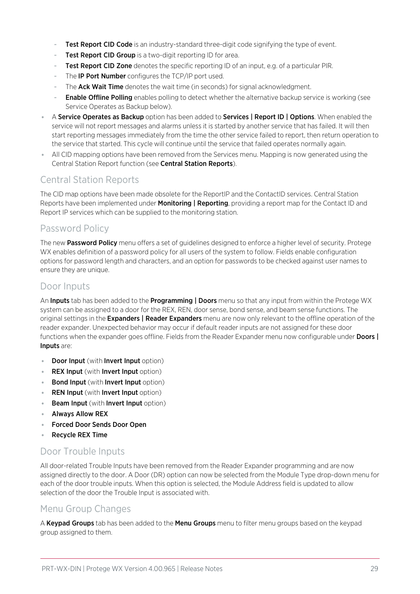- Test Report CID Code is an industry-standard three-digit code signifying the type of event.
- **Test Report CID Group** is a two-digit reporting ID for area.
- Test Report CID Zone denotes the specific reporting ID of an input, e.g. of a particular PIR.
- The **IP Port Number** configures the TCP/IP port used.
- The Ack Wait Time denotes the wait time (in seconds) for signal acknowledgment.
- **Enable Offline Polling** enables polling to detect whether the alternative backup service is working (see Service Operates as Backup below).
- A Service Operates as Backup option has been added to Services | Report ID | Options. When enabled the service will not report messages and alarms unless it is started by another service that has failed. It will then start reporting messages immediately from the time the other service failed to report, then return operation to the service that started. This cycle will continue until the service that failed operates normally again.
- ⦁ All CID mapping options have been removed from the Services menu. Mapping is now generated using the Central Station Report function (see Central Station Reports).

## Central Station Reports

The CID map options have been made obsolete for the ReportIP and the ContactID services. Central Station Reports have been implemented under **Monitoring | Reporting**, providing a report map for the Contact ID and Report IP services which can be supplied to the monitoring station.

## Password Policy

The new Password Policy menu offers a set of guidelines designed to enforce a higher level of security. Protege WX enables definition of a password policy for all users of the system to follow. Fields enable configuration options for password length and characters, and an option for passwords to be checked against user names to ensure they are unique.

### Door Inputs

An Inputs tab has been added to the Programming | Doors menu so that any input from within the Protege WX system can be assigned to a door for the REX, REN, door sense, bond sense, and beam sense functions. The original settings in the **Expanders | Reader Expanders** menu are now only relevant to the offline operation of the reader expander. Unexpected behavior may occur if default reader inputs are not assigned for these door functions when the expander goes offline. Fields from the Reader Expander menu now configurable under **Doors** | Inputs are:

- Door Input (with Invert Input option)
- **REX Input** (with **Invert Input** option)
- **Bond Input** (with **Invert Input** option)
- **REN Input** (with **Invert Input** option)
- Beam Input (with Invert Input option)
- ⦁ Always Allow REX
- ⦁ Forced Door Sends Door Open
- ⦁ Recycle REX Time

## Door Trouble Inputs

All door-related Trouble Inputs have been removed from the Reader Expander programming and are now assigned directly to the door. A Door (DR) option can now be selected from the Module Type drop-down menu for each of the door trouble inputs. When this option is selected, the Module Address field is updated to allow selection of the door the Trouble Input is associated with.

## Menu Group Changes

A Keypad Groups tab has been added to the Menu Groups menu to filter menu groups based on the keypad group assigned to them.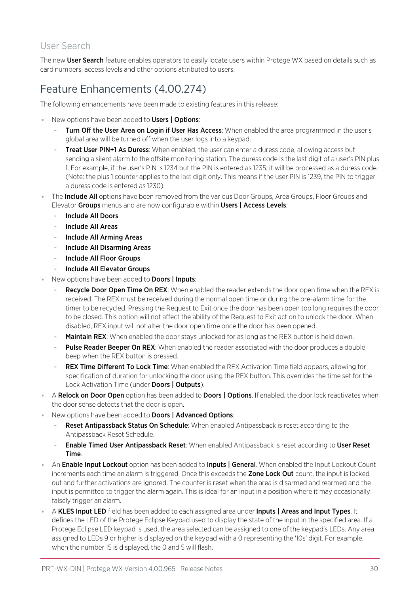## User Search

The new User Search feature enables operators to easily locate users within Protege WX based on details such as card numbers, access levels and other options attributed to users.

# Feature Enhancements (4.00.274)

The following enhancements have been made to existing features in this release:

- New options have been added to **Users | Options**:
	- Turn Off the User Area on Login if User Has Access: When enabled the area programmed in the user's global area will be turned off when the user logs into a keypad.
	- Treat User PIN+1 As Duress: When enabled, the user can enter a duress code, allowing access but sending a silent alarm to the offsite monitoring station. The duress code is the last digit of a user's PIN plus 1. For example, if the user's PIN is 1234 but the PIN is entered as 1235, it will be processed as a duress code. (Note: the plus 1 counter applies to the last digit only. This means if the user PIN is 1239, the PIN to trigger a duress code is entered as 1230).
- The Include All options have been removed from the various Door Groups, Area Groups, Floor Groups and Elevator Groups menus and are now configurable within Users | Access Levels:
	- Include All Doors
	- Include All Areas
	- Include All Arming Areas
	- Include All Disarming Areas
	- Include All Floor Groups
	- Include All Elevator Groups
- New options have been added to **Doors | Inputs**:
	- Recycle Door Open Time On REX: When enabled the reader extends the door open time when the REX is received. The REX must be received during the normal open time or during the pre-alarm time for the timer to be recycled. Pressing the Request to Exit once the door has been open too long requires the door to be closed. This option will not affect the ability of the Request to Exit action to unlock the door. When disabled, REX input will not alter the door open time once the door has been opened.
	- **Maintain REX:** When enabled the door stays unlocked for as long as the REX button is held down.
	- Pulse Reader Beeper On REX: When enabled the reader associated with the door produces a double beep when the REX button is pressed.
	- REX Time Different To Lock Time: When enabled the REX Activation Time field appears, allowing for specification of duration for unlocking the door using the REX button. This overrides the time set for the Lock Activation Time (under Doors | Outputs).
- A Relock on Door Open option has been added to Doors | Options. If enabled, the door lock reactivates when the door sense detects that the door is open.
- New options have been added to **Doors | Advanced Options**:
	- Reset Antipassback Status On Schedule: When enabled Antipassback is reset according to the Antipassback Reset Schedule.
	- Enable Timed User Antipassback Reset: When enabled Antipassback is reset according to User Reset Time.
- An **Enable Input Lockout** option has been added to **Inputs | General**. When enabled the Input Lockout Count increments each time an alarm is triggered. Once this exceeds the Zone Lock Out count, the input is locked out and further activations are ignored. The counter is reset when the area is disarmed and rearmed and the input is permitted to trigger the alarm again. This is ideal for an input in a position where it may occasionally falsely trigger an alarm.
- A KLES Input LED field has been added to each assigned area under Inputs | Areas and Input Types. It defines the LED of the Protege Eclipse Keypad used to display the state of the input in the specified area. If a Protege Eclipse LED keypad is used, the area selected can be assigned to one of the keypad's LEDs. Any area assigned to LEDs 9 or higher is displayed on the keypad with a 0 representing the '10s' digit. For example, when the number 15 is displayed, the 0 and 5 will flash.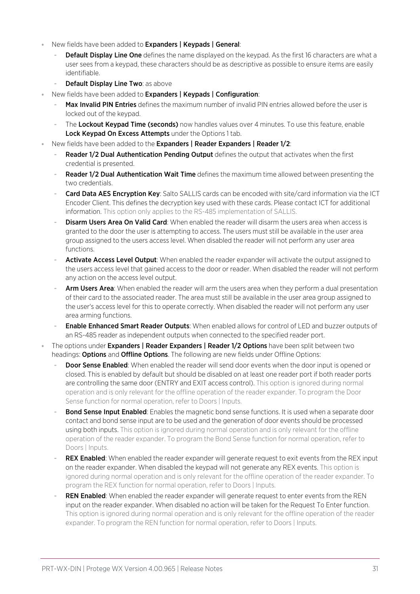- New fields have been added to Expanders | Keypads | General:
	- **Default Display Line One** defines the name displayed on the keypad. As the first 16 characters are what a user sees from a keypad, these characters should be as descriptive as possible to ensure items are easily identifiable.
	- Default Display Line Two: as above
- New fields have been added to Expanders | Keypads | Configuration:
	- Max Invalid PIN Entries defines the maximum number of invalid PIN entries allowed before the user is locked out of the keypad.
	- The Lockout Keypad Time (seconds) now handles values over 4 minutes. To use this feature, enable Lock Keypad On Excess Attempts under the Options 1 tab.
- New fields have been added to the **Expanders | Reader Expanders | Reader 1/2**:
	- Reader 1/2 Dual Authentication Pending Output defines the output that activates when the first credential is presented.
	- Reader 1/2 Dual Authentication Wait Time defines the maximum time allowed between presenting the two credentials.
	- Card Data AES Encryption Key: Salto SALLIS cards can be encoded with site/card information via the ICT Encoder Client. This defines the decryption key used with these cards. Please contact ICT for additional information. This option only applies to the RS-485 implementation of SALLIS.
	- Disarm Users Area On Valid Card: When enabled the reader will disarm the users area when access is granted to the door the user is attempting to access. The users must still be available in the user area group assigned to the users access level. When disabled the reader will not perform any user area functions.
	- Activate Access Level Output: When enabled the reader expander will activate the output assigned to the users access level that gained access to the door or reader. When disabled the reader will not perform any action on the access level output.
	- Arm Users Area: When enabled the reader will arm the users area when they perform a dual presentation of their card to the associated reader. The area must still be available in the user area group assigned to the user's access level for this to operate correctly. When disabled the reader will not perform any user area arming functions.
	- Enable Enhanced Smart Reader Outputs: When enabled allows for control of LED and buzzer outputs of an RS-485 reader as independent outputs when connected to the specified reader port.
- The options under Expanders | Reader Expanders | Reader 1/2 Options have been split between two headings: **Options** and **Offline Options**. The following are new fields under Offline Options:
	- Door Sense Enabled: When enabled the reader will send door events when the door input is opened or closed. This is enabled by default but should be disabled on at least one reader port if both reader ports are controlling the same door (ENTRY and EXIT access control). This option is ignored during normal operation and is only relevant for the offline operation of the reader expander. To program the Door Sense function for normal operation, refer to Doors | Inputs.
	- Bond Sense Input Enabled: Enables the magnetic bond sense functions. It is used when a separate door contact and bond sense input are to be used and the generation of door events should be processed using both inputs. This option is ignored during normal operation and is only relevant for the offline operation of the reader expander. To program the Bond Sense function for normal operation, refer to Doors | Inputs.
	- REX Enabled: When enabled the reader expander will generate request to exit events from the REX input on the reader expander. When disabled the keypad will not generate any REX events. This option is ignored during normal operation and is only relevant for the offline operation of the reader expander. To program the REX function for normal operation, refer to Doors | Inputs.
	- REN Enabled: When enabled the reader expander will generate request to enter events from the REN input on the reader expander. When disabled no action will be taken for the Request To Enter function. This option is ignored during normal operation and is only relevant for the offline operation of the reader expander. To program the REN function for normal operation, refer to Doors | Inputs.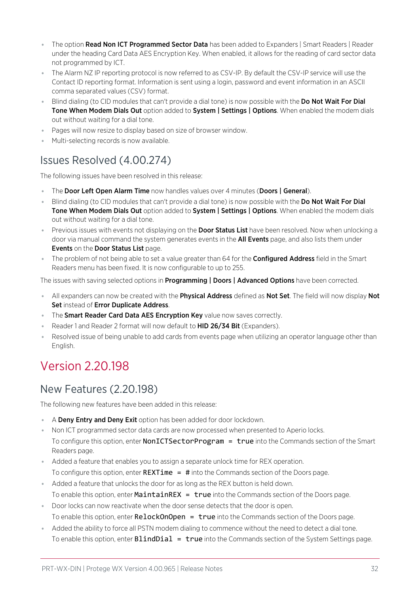- The option Read Non ICT Programmed Sector Data has been added to Expanders | Smart Readers | Reader under the heading Card Data AES Encryption Key. When enabled, it allows for the reading of card sector data not programmed by ICT.
- ⦁ The Alarm NZ IP reporting protocol is now referred to as CSV-IP. By default the CSV-IP service will use the Contact ID reporting format. Information is sent using a login, password and event information in an ASCII comma separated values (CSV) format.
- Blind dialing (to CID modules that can't provide a dial tone) is now possible with the Do Not Wait For Dial Tone When Modem Dials Out option added to System | Settings | Options. When enabled the modem dials out without waiting for a dial tone.
- ⦁ Pages will now resize to display based on size of browser window.
- ⦁ Multi-selecting records is now available.

# Issues Resolved (4.00.274)

The following issues have been resolved in this release:

- The Door Left Open Alarm Time now handles values over 4 minutes (Doors | General).
- Blind dialing (to CID modules that can't provide a dial tone) is now possible with the Do Not Wait For Dial Tone When Modem Dials Out option added to System | Settings | Options. When enabled the modem dials out without waiting for a dial tone.
- Previous issues with events not displaying on the **Door Status List** have been resolved. Now when unlocking a door via manual command the system generates events in the **All Events** page, and also lists them under Events on the Door Status List page.
- The problem of not being able to set a value greater than 64 for the **Configured Address** field in the Smart Readers menu has been fixed. It is now configurable to up to 255.

The issues with saving selected options in **Programming | Doors | Advanced Options** have been corrected.

- All expanders can now be created with the Physical Address defined as Not Set. The field will now display Not Set instead of Error Duplicate Address.
- The Smart Reader Card Data AES Encryption Key value now saves correctly.
- Reader 1 and Reader 2 format will now default to **HID 26/34 Bit** (Expanders).
- ⦁ Resolved issue of being unable to add cards from events page when utilizing an operator language other than English.

# Version 2.20.198

# New Features (2.20.198)

The following new features have been added in this release:

- A Deny Entry and Deny Exit option has been added for door lockdown.
- ⦁ Non ICT programmed sector data cards are now processed when presented to Aperio locks. To configure this option, enter **NonICTSectorProgram = true** into the Commands section of the Smart Readers page.
- ⦁ Added a feature that enables you to assign a separate unlock time for REX operation. To configure this option, enter  $REXTime = #$  into the Commands section of the Doors page.
- ⦁ Added a feature that unlocks the door for as long as the REX button is held down. To enable this option, enter **MaintainREX** =  $true$  into the Commands section of the Doors page.
- ⦁ Door locks can now reactivate when the door sense detects that the door is open. To enable this option, enter  $\text{RelockOnOpen} = \text{true}$  into the Commands section of the Doors page.
- ⦁ Added the ability to force all PSTN modem dialing to commence without the need to detect a dial tone. To enable this option, enter **BlindDial = true** into the Commands section of the System Settings page.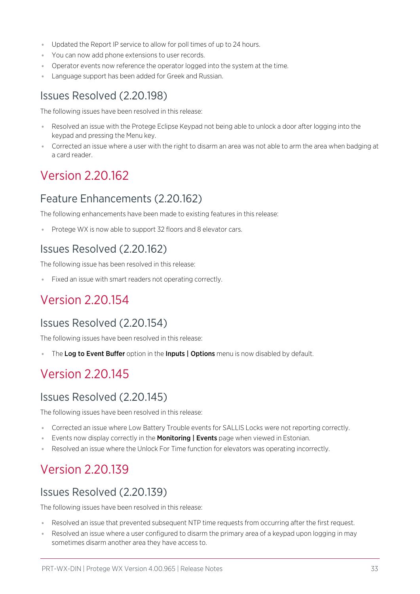- ⦁ Updated the Report IP service to allow for poll times of up to 24 hours.
- ⦁ You can now add phone extensions to user records.
- ⦁ Operator events now reference the operator logged into the system at the time.
- Language support has been added for Greek and Russian.

## Issues Resolved (2.20.198)

The following issues have been resolved in this release:

- ⦁ Resolved an issue with the Protege Eclipse Keypad not being able to unlock a door after logging into the keypad and pressing the Menu key.
- ⦁ Corrected an issue where a user with the right to disarm an area was not able to arm the area when badging at a card reader.

# Version 2.20.162

## Feature Enhancements (2.20.162)

The following enhancements have been made to existing features in this release:

■ Protege WX is now able to support 32 floors and 8 elevator cars.

## Issues Resolved (2.20.162)

The following issue has been resolved in this release:

⦁ Fixed an issue with smart readers not operating correctly.

# Version 2.20.154

## Issues Resolved (2.20.154)

The following issues have been resolved in this release:

■ The Log to Event Buffer option in the Inputs | Options menu is now disabled by default.

# Version 2.20.145

## Issues Resolved (2.20.145)

The following issues have been resolved in this release:

- ⦁ Corrected an issue where Low Battery Trouble events for SALLIS Locks were not reporting correctly.
- **Events now display correctly in the Monitoring | Events** page when viewed in Estonian.
- Resolved an issue where the Unlock For Time function for elevators was operating incorrectly.

# Version 2.20.139

## Issues Resolved (2.20.139)

The following issues have been resolved in this release:

- ⦁ Resolved an issue that prevented subsequent NTP time requests from occurring after the first request.
- ⦁ Resolved an issue where a user configured to disarm the primary area of a keypad upon logging in may sometimes disarm another area they have access to.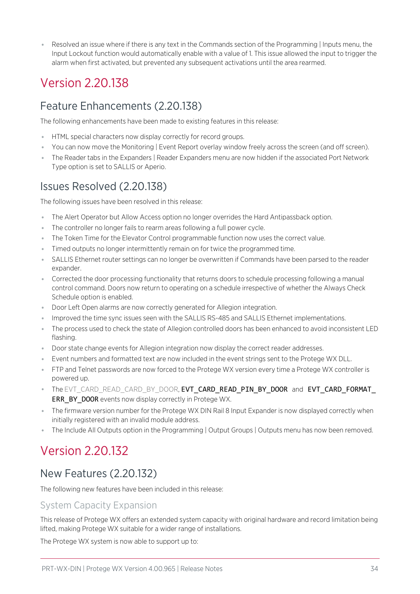⦁ Resolved an issue where if there is any text in the Commands section of the Programming | Inputs menu, the Input Lockout function would automatically enable with a value of 1. This issue allowed the input to trigger the alarm when first activated, but prevented any subsequent activations until the area rearmed.

# Version 2.20.138

## Feature Enhancements (2.20.138)

The following enhancements have been made to existing features in this release:

- ⦁ HTML special characters now display correctly for record groups.
- ⦁ You can now move the Monitoring | Event Report overlay window freely across the screen (and off screen).
- ⦁ The Reader tabs in the Expanders | Reader Expanders menu are now hidden if the associated Port Network Type option is set to SALLIS or Aperio.

## Issues Resolved (2.20.138)

The following issues have been resolved in this release:

- ⦁ The Alert Operator but Allow Access option no longer overrides the Hard Antipassback option.
- ⦁ The controller no longer fails to rearm areas following a full power cycle.
- ⦁ The Token Time for the Elevator Control programmable function now uses the correct value.
- ⦁ Timed outputs no longer intermittently remain on for twice the programmed time.
- ⦁ SALLIS Ethernet router settings can no longer be overwritten if Commands have been parsed to the reader expander.
- ⦁ Corrected the door processing functionality that returns doors to schedule processing following a manual control command. Doors now return to operating on a schedule irrespective of whether the Always Check Schedule option is enabled.
- ⦁ Door Left Open alarms are now correctly generated for Allegion integration.
- ⦁ Improved the time sync issues seen with the SALLIS RS-485 and SALLIS Ethernet implementations.
- ⦁ The process used to check the state of Allegion controlled doors has been enhanced to avoid inconsistent LED flashing.
- ⦁ Door state change events for Allegion integration now display the correct reader addresses.
- ⦁ Event numbers and formatted text are now included in the event strings sent to the Protege WX DLL.
- ⦁ FTP and Telnet passwords are now forced to the Protege WX version every time a Protege WX controller is powered up.
- . The EVT CARD\_READ\_CARD\_BY\_DOOR, EVT\_CARD\_READ\_PIN\_BY\_DOOR\_and\_EVT\_CARD\_FORMAT\_ ERR\_BY\_DOOR events now display correctly in Protege WX.
- The firmware version number for the Protege WX DIN Rail 8 Input Expander is now displayed correctly when initially registered with an invalid module address.
- ⦁ The Include All Outputs option in the Programming | Output Groups | Outputs menu has now been removed.

# Version 2.20.132

# New Features (2.20.132)

The following new features have been included in this release:

## System Capacity Expansion

This release of Protege WX offers an extended system capacity with original hardware and record limitation being lifted, making Protege WX suitable for a wider range of installations.

The Protege WX system is now able to support up to: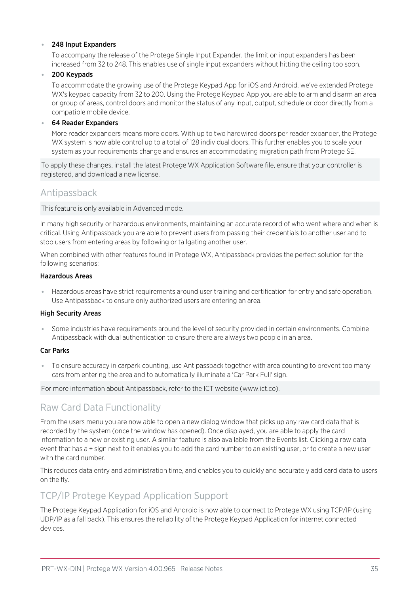#### ⦁ 248 Input Expanders

To accompany the release of the Protege Single Input Expander, the limit on input expanders has been increased from 32 to 248. This enables use of single input expanders without hitting the ceiling too soon.

#### ⦁ 200 Keypads

To accommodate the growing use of the Protege Keypad App for iOS and Android, we've extended Protege WX's keypad capacity from 32 to 200. Using the Protege Keypad App you are able to arm and disarm an area or group of areas, control doors and monitor the status of any input, output, schedule or door directly from a compatible mobile device.

#### ⦁ 64 Reader Expanders

More reader expanders means more doors. With up to two hardwired doors per reader expander, the Protege WX system is now able control up to a total of 128 individual doors. This further enables you to scale your system as your requirements change and ensures an accommodating migration path from Protege SE.

To apply these changes, install the latest Protege WX Application Software file, ensure that your controller is registered, and download a new license.

## Antipassback

This feature is only available in Advanced mode.

In many high security or hazardous environments, maintaining an accurate record of who went where and when is critical. Using Antipassback you are able to prevent users from passing their credentials to another user and to stop users from entering areas by following or tailgating another user.

When combined with other features found in Protege WX, Antipassback provides the perfect solution for the following scenarios:

#### Hazardous Areas

Hazardous areas have strict requirements around user training and certification for entry and safe operation. Use Antipassback to ensure only authorized users are entering an area.

#### High Security Areas

⦁ Some industries have requirements around the level of security provided in certain environments. Combine Antipassback with dual authentication to ensure there are always two people in an area.

#### Car Parks

⦁ To ensure accuracy in carpark counting, use Antipassback together with area counting to prevent too many cars from entering the area and to automatically illuminate a 'Car Park Full' sign.

For more information about Antipassback, refer to the ICT website (www.ict.co).

## Raw Card Data Functionality

From the users menu you are now able to open a new dialog window that picks up any raw card data that is recorded by the system (once the window has opened). Once displayed, you are able to apply the card information to a new or existing user. A similar feature is also available from the Events list. Clicking a raw data event that has a + sign next to it enables you to add the card number to an existing user, or to create a new user with the card number.

This reduces data entry and administration time, and enables you to quickly and accurately add card data to users on the fly.

## TCP/IP Protege Keypad Application Support

The Protege Keypad Application for iOS and Android is now able to connect to Protege WX using TCP/IP (using UDP/IP as a fall back). This ensures the reliability of the Protege Keypad Application for internet connected devices.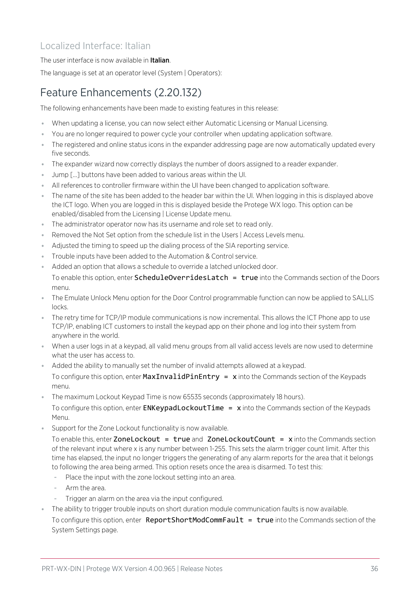## Localized Interface: Italian

### The user interface is now available in Italian.

The language is set at an operator level (System | Operators):

# Feature Enhancements (2.20.132)

The following enhancements have been made to existing features in this release:

- ⦁ When updating a license, you can now select either Automatic Licensing or Manual Licensing.
- ⦁ You are no longer required to power cycle your controller when updating application software.
- ⦁ The registered and online status icons in the expander addressing page are now automatically updated every five seconds.
- ⦁ The expander wizard now correctly displays the number of doors assigned to a reader expander.
- ⦁ Jump [...] buttons have been added to various areas within the UI.
- ⦁ All references to controller firmware within the UI have been changed to application software.
- ⦁ The name of the site has been added to the header bar within the UI. When logging in this is displayed above the ICT logo. When you are logged in this is displayed beside the Protege WX logo. This option can be enabled/disabled from the Licensing | License Update menu.
- ⦁ The administrator operator now has its username and role set to read only.
- ⦁ Removed the Not Set option from the schedule list in the Users | Access Levels menu.
- ⦁ Adjusted the timing to speed up the dialing process of the SIA reporting service.
- ⦁ Trouble inputs have been added to the Automation & Control service.
- ⦁ Added an option that allows a schedule to override a latched unlocked door.

To enable this option, enter **ScheduleOverridesLatch = true** into the Commands section of the Doors menu.

- ⦁ The Emulate Unlock Menu option for the Door Control programmable function can now be applied to SALLIS locks.
- ⦁ The retry time for TCP/IP module communications is now incremental. This allows the ICT Phone app to use TCP/IP, enabling ICT customers to install the keypad app on their phone and log into their system from anywhere in the world.
- ⦁ When a user logs in at a keypad, all valid menu groups from all valid access levels are now used to determine what the user has access to.
- ⦁ Added the ability to manually set the number of invalid attempts allowed at a keypad.

To configure this option, enter  $MaxInvalityHint$  =  $x$  into the Commands section of the Keypads menu.

⦁ The maximum Lockout Keypad Time is now 65535 seconds (approximately 18 hours).

To configure this option, enter **ENKeypadLockoutTime = x** into the Commands section of the Keypads Menu.

Support for the Zone Lockout functionality is now available.

To enable this, enter ZoneLockout = true and ZoneLockoutCount =  $x$  into the Commands section of the relevant input where x is any number between 1-255. This sets the alarm trigger count limit. After this time has elapsed, the input no longer triggers the generating of any alarm reports for the area that it belongs to following the area being armed. This option resets once the area is disarmed. To test this:

- Place the input with the zone lockout setting into an area.
- Arm the area.
- Trigger an alarm on the area via the input configured.
- ⦁ The ability to trigger trouble inputs on short duration module communication faults is now available.

To configure this option, enter ReportShortModCommFault = true into the Commands section of the System Settings page.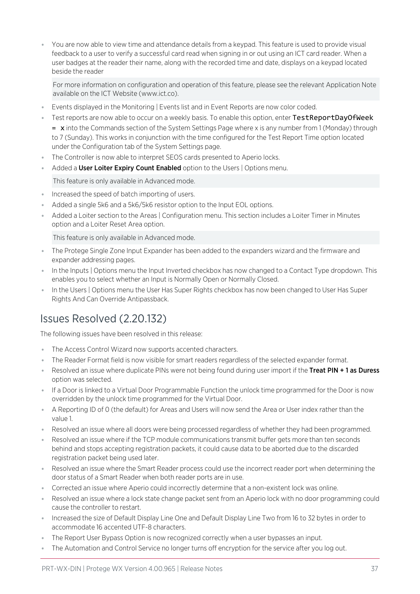⦁ You are now able to view time and attendance details from a keypad. This feature is used to provide visual feedback to a user to verify a successful card read when signing in or out using an ICT card reader. When a user badges at the reader their name, along with the recorded time and date, displays on a keypad located beside the reader

For more information on configuration and operation of this feature, please see the relevant Application Note available on the ICT Website (www.ict.co).

- ⦁ Events displayed in the Monitoring | Events list and in Event Reports are now color coded.
	- Test reports are now able to occur on a weekly basis. To enable this option, enter TestReportDayOfWeek  $=$  x into the Commands section of the System Settings Page where x is any number from 1 (Monday) through to 7 (Sunday). This works in conjunction with the time configured for the Test Report Time option located under the Configuration tab of the System Settings page.
- The Controller is now able to interpret SEOS cards presented to Aperio locks.
- Added a User Loiter Expiry Count Enabled option to the Users | Options menu.

This feature is only available in Advanced mode.

- ⦁ Increased the speed of batch importing of users.
- ⦁ Added a single 5k6 and a 5k6/5k6 resistor option to the Input EOL options.
- ⦁ Added a Loiter section to the Areas | Configuration menu. This section includes a Loiter Timer in Minutes option and a Loiter Reset Area option.

This feature is only available in Advanced mode.

- ⦁ The Protege Single Zone Input Expander has been added to the expanders wizard and the firmware and expander addressing pages.
- ⦁ In the Inputs | Options menu the Input Inverted checkbox has now changed to a Contact Type dropdown. This enables you to select whether an Input is Normally Open or Normally Closed.
- ⦁ In the Users | Options menu the User Has Super Rights checkbox has now been changed to User Has Super Rights And Can Override Antipassback.

# Issues Resolved (2.20.132)

The following issues have been resolved in this release:

- ⦁ The Access Control Wizard now supports accented characters.
- ⦁ The Reader Format field is now visible for smart readers regardless of the selected expander format.
- Resolved an issue where duplicate PINs were not being found during user import if the Treat PIN + 1 as Duress option was selected.
- ⦁ If a Door is linked to a Virtual Door Programmable Function the unlock time programmed for the Door is now overridden by the unlock time programmed for the Virtual Door.
- ⦁ A Reporting ID of 0 (the default) for Areas and Users will now send the Area or User index rather than the value 1.
- ⦁ Resolved an issue where all doors were being processed regardless of whether they had been programmed.
- ⦁ Resolved an issue where if the TCP module communications transmit buffer gets more than ten seconds behind and stops accepting registration packets, it could cause data to be aborted due to the discarded registration packet being used later.
- ⦁ Resolved an issue where the Smart Reader process could use the incorrect reader port when determining the door status of a Smart Reader when both reader ports are in use.
- ⦁ Corrected an issue where Aperio could incorrectly determine that a non-existent lock was online.
- ⦁ Resolved an issue where a lock state change packet sent from an Aperio lock with no door programming could cause the controller to restart.
- ⦁ Increased the size of Default Display Line One and Default Display Line Two from 16 to 32 bytes in order to accommodate 16 accented UTF-8 characters.
- The Report User Bypass Option is now recognized correctly when a user bypasses an input.
- ⦁ The Automation and Control Service no longer turns off encryption for the service after you log out.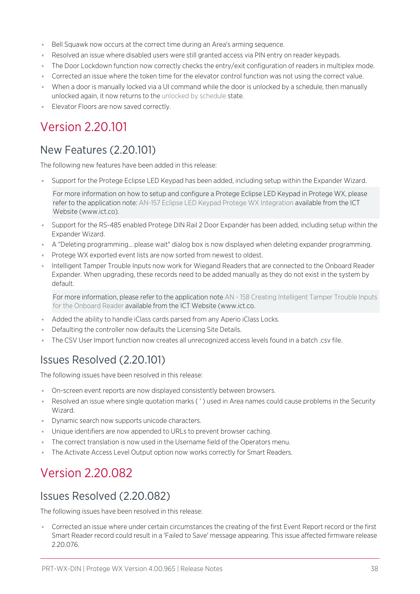- Bell Squawk now occurs at the correct time during an Area's arming sequence.
- ⦁ Resolved an issue where disabled users were still granted access via PIN entry on reader keypads.
- ⦁ The Door Lockdown function now correctly checks the entry/exit configuration of readers in multiplex mode.
- ⦁ Corrected an issue where the token time for the elevator control function was not using the correct value.
- ⦁ When a door is manually locked via a UI command while the door is unlocked by a schedule, then manually unlocked again, it now returns to the unlocked by schedule state.
- ⦁ Elevator Floors are now saved correctly.

# Version 2.20.101

# New Features (2.20.101)

The following new features have been added in this release:

Support for the Protege Eclipse LED Keypad has been added, including setup within the Expander Wizard.

For more information on how to setup and configure a Protege Eclipse LED Keypad in Protege WX, please refer to the application note: AN-157 Eclipse LED Keypad Protege WX Integration available from the ICT Website (www.ict.co).

- ⦁ Support for the RS-485 enabled Protege DIN Rail 2 Door Expander has been added, including setup within the Expander Wizard.
- ⦁ A "Deleting programming... please wait" dialog box is now displayed when deleting expander programming.
- ⦁ Protege WX exported event lists are now sorted from newest to oldest.
- ⦁ Intelligent Tamper Trouble Inputs now work for Wiegand Readers that are connected to the Onboard Reader Expander. When upgrading, these records need to be added manually as they do not exist in the system by default.

For more information, please refer to the application note AN - 158 Creating Intelligent Tamper Trouble Inputs for the Onboard Reader available from the ICT Website (www.ict.co.

- ⦁ Added the ability to handle iClass cards parsed from any Aperio iClass Locks.
- ⦁ Defaulting the controller now defaults the Licensing Site Details.
- ⦁ The CSV User Import function now creates all unrecognized access levels found in a batch .csv file.

# Issues Resolved (2.20.101)

The following issues have been resolved in this release:

- ⦁ On-screen event reports are now displayed consistently between browsers.
- ⦁ Resolved an issue where single quotation marks ( ' ) used in Area names could cause problems in the Security Wizard.
- ⦁ Dynamic search now supports unicode characters.
- ⦁ Unique identifiers are now appended to URLs to prevent browser caching.
- ⦁ The correct translation is now used in the Username field of the Operators menu.
- ⦁ The Activate Access Level Output option now works correctly for Smart Readers.

# Version 2.20.082

## Issues Resolved (2.20.082)

The following issues have been resolved in this release:

⦁ Corrected an issue where under certain circumstances the creating of the first Event Report record or the first Smart Reader record could result in a 'Failed to Save' message appearing. This issue affected firmware release 2.20.076.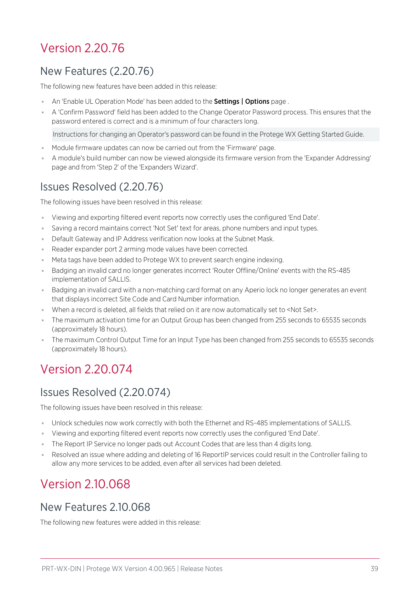# Version 2.20.76

# New Features (2.20.76)

The following new features have been added in this release:

- An 'Enable UL Operation Mode' has been added to the **Settings | Options** page.
- ⦁ A 'Confirm Password' field has been added to the Change Operator Password process. This ensures that the password entered is correct and is a minimum of four characters long.

Instructions for changing an Operator's password can be found in the Protege WX Getting Started Guide.

- ⦁ Module firmware updates can now be carried out from the 'Firmware' page.
- ⦁ A module's build number can now be viewed alongside its firmware version from the 'Expander Addressing' page and from 'Step 2' of the 'Expanders Wizard'.

# Issues Resolved (2.20.76)

The following issues have been resolved in this release:

- ⦁ Viewing and exporting filtered event reports now correctly uses the configured 'End Date'.
- ⦁ Saving a record maintains correct 'Not Set' text for areas, phone numbers and input types.
- ⦁ Default Gateway and IP Address verification now looks at the Subnet Mask.
- Reader expander port 2 arming mode values have been corrected.
- ⦁ Meta tags have been added to Protege WX to prevent search engine indexing.
- ⦁ Badging an invalid card no longer generates incorrect 'Router Offline/Online' events with the RS-485 implementation of SALLIS.
- ⦁ Badging an invalid card with a non-matching card format on any Aperio lock no longer generates an event that displays incorrect Site Code and Card Number information.
- ⦁ When a record is deleted, all fields that relied on it are now automatically set to <Not Set>.
- ⦁ The maximum activation time for an Output Group has been changed from 255 seconds to 65535 seconds (approximately 18 hours).
- ⦁ The maximum Control Output Time for an Input Type has been changed from 255 seconds to 65535 seconds (approximately 18 hours).

# Version 2.20.074

## Issues Resolved (2.20.074)

The following issues have been resolved in this release:

- ⦁ Unlock schedules now work correctly with both the Ethernet and RS-485 implementations of SALLIS.
- ⦁ Viewing and exporting filtered event reports now correctly uses the configured 'End Date'.
- The Report IP Service no longer pads out Account Codes that are less than 4 digits long.
- ⦁ Resolved an issue where adding and deleting of 16 ReportIP services could result in the Controller failing to allow any more services to be added, even after all services had been deleted.

# Version 2.10.068

## New Features 2.10.068

The following new features were added in this release: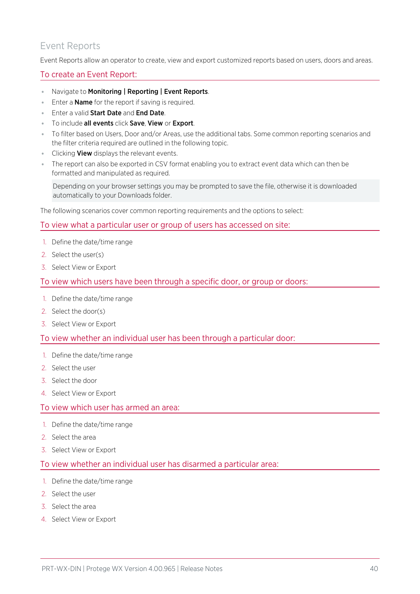## Event Reports

Event Reports allow an operator to create, view and export customized reports based on users, doors and areas.

### To create an Event Report:

- ⦁ Navigate to Monitoring | Reporting | Event Reports.
- **Enter a Name for the report if saving is required.**
- **Enter a valid Start Date and End Date.**
- To include all events click Save, View or Export.
- ⦁ To filter based on Users, Door and/or Areas, use the additional tabs. Some common reporting scenarios and the filter criteria required are outlined in the following topic.
- **Clicking View** displays the relevant events.
- ⦁ The report can also be exported in CSV format enabling you to extract event data which can then be formatted and manipulated as required.

Depending on your browser settings you may be prompted to save the file, otherwise it is downloaded automatically to your Downloads folder.

The following scenarios cover common reporting requirements and the options to select:

### To view what a particular user or group of users has accessed on site:

- 1. Define the date/time range
- 2. Select the user(s)
- 3. Select View or Export

### To view which users have been through a specific door, or group or doors:

- 1. Define the date/time range
- 2. Select the door(s)
- 3. Select View or Export

### To view whether an individual user has been through a particular door:

- 1. Define the date/time range
- 2. Select the user
- 3. Select the door
- 4. Select View or Export

### To view which user has armed an area:

- 1. Define the date/time range
- 2. Select the area
- 3. Select View or Export

### To view whether an individual user has disarmed a particular area:

- 1. Define the date/time range
- 2. Select the user
- 3. Select the area
- 4. Select View or Export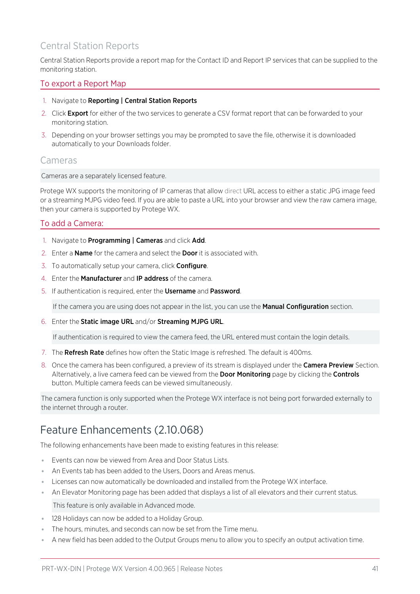## Central Station Reports

Central Station Reports provide a report map for the Contact ID and Report IP services that can be supplied to the monitoring station.

### To export a Report Map

- 1. Navigate to Reporting | Central Station Reports
- 2. Click Export for either of the two services to generate a CSV format report that can be forwarded to your monitoring station.
- 3. Depending on your browser settings you may be prompted to save the file, otherwise it is downloaded automatically to your Downloads folder.

### Cameras

Cameras are a separately licensed feature.

Protege WX supports the monitoring of IP cameras that allow direct URL access to either a static JPG image feed or a streaming MJPG video feed. If you are able to paste a URL into your browser and view the raw camera image, then your camera is supported by Protege WX.

### To add a Camera:

- 1. Navigate to Programming | Cameras and click Add.
- 2. Enter a **Name** for the camera and select the **Door** it is associated with.
- 3. To automatically setup your camera, click Configure.
- 4. Enter the Manufacturer and IP address of the camera.
- 5. If authentication is required, enter the Username and Password.

If the camera you are using does not appear in the list, you can use the **Manual Configuration** section.

6. Enter the Static image URL and/or Streaming MJPG URL.

If authentication is required to view the camera feed, the URL entered must contain the login details.

- 7. The **Refresh Rate** defines how often the Static Image is refreshed. The default is 400ms.
- 8. Once the camera has been configured, a preview of its stream is displayed under the Camera Preview Section. Alternatively, a live camera feed can be viewed from the **Door Monitoring** page by clicking the **Controls** button. Multiple camera feeds can be viewed simultaneously.

The camera function is only supported when the Protege WX interface is not being port forwarded externally to the internet through a router.

# Feature Enhancements (2.10.068)

The following enhancements have been made to existing features in this release:

- ⦁ Events can now be viewed from Area and Door Status Lists.
- ⦁ An Events tab has been added to the Users, Doors and Areas menus.
- ⦁ Licenses can now automatically be downloaded and installed from the Protege WX interface.
- ⦁ An Elevator Monitoring page has been added that displays a list of all elevators and their current status.

This feature is only available in Advanced mode.

- ⦁ 128 Holidays can now be added to a Holiday Group.
- ⦁ The hours, minutes, and seconds can now be set from the Time menu.
- A new field has been added to the Output Groups menu to allow you to specify an output activation time.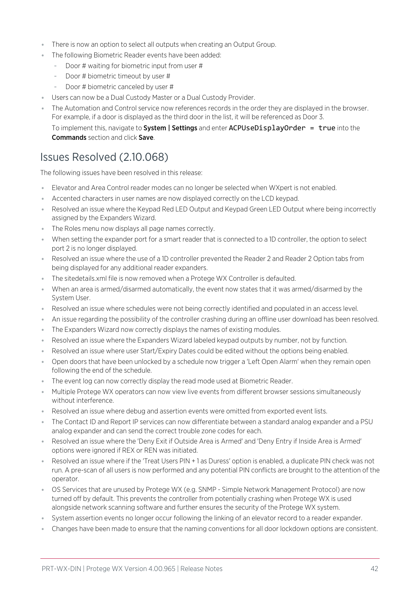- ⦁ There is now an option to select all outputs when creating an Output Group.
- ⦁ The following Biometric Reader events have been added:
	- Door # waiting for biometric input from user #
	- Door # biometric timeout by user #
	- Door # biometric canceled by user #
- ⦁ Users can now be a Dual Custody Master or a Dual Custody Provider.
- ⦁ The Automation and Control service now references records in the order they are displayed in the browser. For example, if a door is displayed as the third door in the list, it will be referenced as Door 3.

To implement this, navigate to System | Settings and enter ACPUseDisplayOrder = true into the Commands section and click Save.

# Issues Resolved (2.10.068)

The following issues have been resolved in this release:

- ⦁ Elevator and Area Control reader modes can no longer be selected when WXpert is not enabled.
- ⦁ Accented characters in user names are now displayed correctly on the LCD keypad.
- ⦁ Resolved an issue where the Keypad Red LED Output and Keypad Green LED Output where being incorrectly assigned by the Expanders Wizard.
- The Roles menu now displays all page names correctly.
- ⦁ When setting the expander port for a smart reader that is connected to a 1D controller, the option to select port 2 is no longer displayed.
- ⦁ Resolved an issue where the use of a 1D controller prevented the Reader 2 and Reader 2 Option tabs from being displayed for any additional reader expanders.
- ⦁ The sitedetails.xml file is now removed when a Protege WX Controller is defaulted.
- ⦁ When an area is armed/disarmed automatically, the event now states that it was armed/disarmed by the System User.
- Resolved an issue where schedules were not being correctly identified and populated in an access level.
- ⦁ An issue regarding the possibility of the controller crashing during an offline user download has been resolved.
- ⦁ The Expanders Wizard now correctly displays the names of existing modules.
- ⦁ Resolved an issue where the Expanders Wizard labeled keypad outputs by number, not by function.
- ⦁ Resolved an issue where user Start/Expiry Dates could be edited without the options being enabled.
- ⦁ Open doors that have been unlocked by a schedule now trigger a 'Left Open Alarm' when they remain open following the end of the schedule.
- ⦁ The event log can now correctly display the read mode used at Biometric Reader.
- ⦁ Multiple Protege WX operators can now view live events from different browser sessions simultaneously without interference.
- ⦁ Resolved an issue where debug and assertion events were omitted from exported event lists.
- ⦁ The Contact ID and Report IP services can now differentiate between a standard analog expander and a PSU analog expander and can send the correct trouble zone codes for each.
- ⦁ Resolved an issue where the 'Deny Exit if Outside Area is Armed' and 'Deny Entry if Inside Area is Armed' options were ignored if REX or REN was initiated.
- Resolved an issue where if the 'Treat Users PIN + 1 as Duress' option is enabled, a duplicate PIN check was not run. A pre-scan of all users is now performed and any potential PIN conflicts are brought to the attention of the operator.
- ⦁ OS Services that are unused by Protege WX (e.g. SNMP Simple Network Management Protocol) are now turned off by default. This prevents the controller from potentially crashing when Protege WX is used alongside network scanning software and further ensures the security of the Protege WX system.
- ⦁ System assertion events no longer occur following the linking of an elevator record to a reader expander.
- ⦁ Changes have been made to ensure that the naming conventions for all door lockdown options are consistent.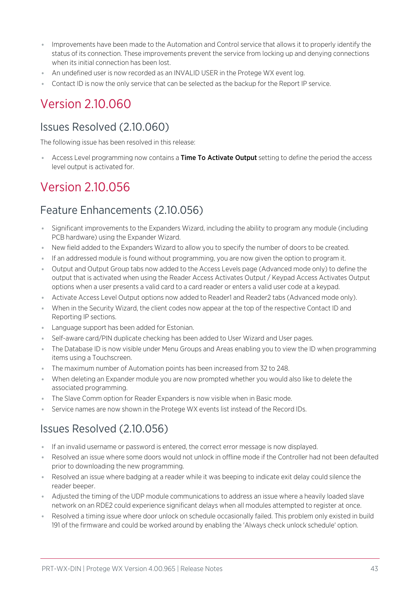- ⦁ Improvements have been made to the Automation and Control service that allows it to properly identify the status of its connection. These improvements prevent the service from locking up and denying connections when its initial connection has been lost.
- An undefined user is now recorded as an INVALID USER in the Protege WX event log.
- ⦁ Contact ID is now the only service that can be selected as the backup for the Report IP service.

# Version 2.10.060

# Issues Resolved (2.10.060)

The following issue has been resolved in this release:

Access Level programming now contains a Time To Activate Output setting to define the period the access level output is activated for.

# Version 2.10.056

# Feature Enhancements (2.10.056)

- ⦁ Significant improvements to the Expanders Wizard, including the ability to program any module (including PCB hardware) using the Expander Wizard.
- ⦁ New field added to the Expanders Wizard to allow you to specify the number of doors to be created.
- ⦁ If an addressed module is found without programming, you are now given the option to program it.
- ⦁ Output and Output Group tabs now added to the Access Levels page (Advanced mode only) to define the output that is activated when using the Reader Access Activates Output / Keypad Access Activates Output options when a user presents a valid card to a card reader or enters a valid user code at a keypad.
- ⦁ Activate Access Level Output options now added to Reader1 and Reader2 tabs (Advanced mode only).
- ⦁ When in the Security Wizard, the client codes now appear at the top of the respective Contact ID and Reporting IP sections.
- ⦁ Language support has been added for Estonian.
- Self-aware card/PIN duplicate checking has been added to User Wizard and User pages.
- The Database ID is now visible under Menu Groups and Areas enabling you to view the ID when programming items using a Touchscreen.
- ⦁ The maximum number of Automation points has been increased from 32 to 248.
- ⦁ When deleting an Expander module you are now prompted whether you would also like to delete the associated programming.
- ⦁ The Slave Comm option for Reader Expanders is now visible when in Basic mode.
- Service names are now shown in the Protege WX events list instead of the Record IDs.

# Issues Resolved (2.10.056)

- ⦁ If an invalid username or password is entered, the correct error message is now displayed.
- ⦁ Resolved an issue where some doors would not unlock in offline mode if the Controller had not been defaulted prior to downloading the new programming.
- Resolved an issue where badging at a reader while it was beeping to indicate exit delay could silence the reader beeper.
- ⦁ Adjusted the timing of the UDP module communications to address an issue where a heavily loaded slave network on an RDE2 could experience significant delays when all modules attempted to register at once.
- ⦁ Resolved a timing issue where door unlock on schedule occasionally failed. This problem only existed in build 191 of the firmware and could be worked around by enabling the 'Always check unlock schedule' option.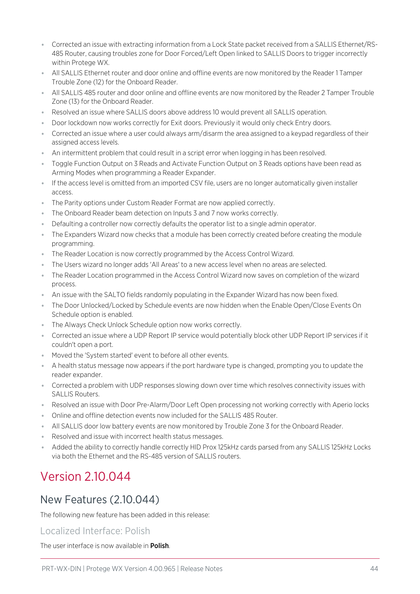- ⦁ Corrected an issue with extracting information from a Lock State packet received from a SALLIS Ethernet/RS-485 Router, causing troubles zone for Door Forced/Left Open linked to SALLIS Doors to trigger incorrectly within Protege WX.
- ⦁ All SALLIS Ethernet router and door online and offline events are now monitored by the Reader 1 Tamper Trouble Zone (12) for the Onboard Reader.
- ⦁ All SALLIS 485 router and door online and offline events are now monitored by the Reader 2 Tamper Trouble Zone (13) for the Onboard Reader.
- ⦁ Resolved an issue where SALLIS doors above address 10 would prevent all SALLIS operation.
- ⦁ Door lockdown now works correctly for Exit doors. Previously it would only check Entry doors.
- ⦁ Corrected an issue where a user could always arm/disarm the area assigned to a keypad regardless of their assigned access levels.
- ⦁ An intermittent problem that could result in a script error when logging in has been resolved.
- Toggle Function Output on 3 Reads and Activate Function Output on 3 Reads options have been read as Arming Modes when programming a Reader Expander.
- ⦁ If the access level is omitted from an imported CSV file, users are no longer automatically given installer access.
- ⦁ The Parity options under Custom Reader Format are now applied correctly.
- ⦁ The Onboard Reader beam detection on Inputs 3 and 7 now works correctly.
- ⦁ Defaulting a controller now correctly defaults the operator list to a single admin operator.
- ⦁ The Expanders Wizard now checks that a module has been correctly created before creating the module programming.
- ⦁ The Reader Location is now correctly programmed by the Access Control Wizard.
- ⦁ The Users wizard no longer adds 'All Areas' to a new access level when no areas are selected.
- ⦁ The Reader Location programmed in the Access Control Wizard now saves on completion of the wizard process.
- ⦁ An issue with the SALTO fields randomly populating in the Expander Wizard has now been fixed.
- ⦁ The Door Unlocked/Locked by Schedule events are now hidden when the Enable Open/Close Events On Schedule option is enabled.
- ⦁ The Always Check Unlock Schedule option now works correctly.
- ⦁ Corrected an issue where a UDP Report IP service would potentially block other UDP Report IP services if it couldn't open a port.
- ⦁ Moved the 'System started' event to before all other events.
- ⦁ A health status message now appears if the port hardware type is changed, prompting you to update the reader expander.
- ⦁ Corrected a problem with UDP responses slowing down over time which resolves connectivity issues with SALLIS Routers.
- ⦁ Resolved an issue with Door Pre-Alarm/Door Left Open processing not working correctly with Aperio locks
- ⦁ Online and offline detection events now included for the SALLIS 485 Router.
- ⦁ All SALLIS door low battery events are now monitored by Trouble Zone 3 for the Onboard Reader.
- ⦁ Resolved and issue with incorrect health status messages.
- ⦁ Added the ability to correctly handle correctly HID Prox 125kHz cards parsed from any SALLIS 125kHz Locks via both the Ethernet and the RS-485 version of SALLIS routers.

# Version 2.10.044

# New Features (2.10.044)

The following new feature has been added in this release:

## Localized Interface: Polish

The user interface is now available in **Polish**.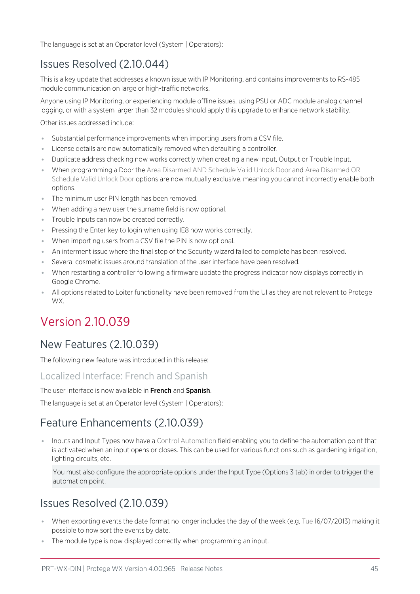The language is set at an Operator level (System | Operators):

# Issues Resolved (2.10.044)

This is a key update that addresses a known issue with IP Monitoring, and contains improvements to RS-485 module communication on large or high-traffic networks.

Anyone using IP Monitoring, or experiencing module offline issues, using PSU or ADC module analog channel logging, or with a system larger than 32 modules should apply this upgrade to enhance network stability.

Other issues addressed include:

- ⦁ Substantial performance improvements when importing users from a CSV file.
- ⦁ License details are now automatically removed when defaulting a controller.
- ⦁ Duplicate address checking now works correctly when creating a new Input, Output or Trouble Input.
- ⦁ When programming a Door the Area Disarmed AND Schedule Valid Unlock Door and Area Disarmed OR Schedule Valid Unlock Door options are now mutually exclusive, meaning you cannot incorrectly enable both options.
- The minimum user PIN length has been removed.
- ⦁ When adding a new user the surname field is now optional.
- ⦁ Trouble Inputs can now be created correctly.
- ⦁ Pressing the Enter key to login when using IE8 now works correctly.
- ⦁ When importing users from a CSV file the PIN is now optional.
- ⦁ An interment issue where the final step of the Security wizard failed to complete has been resolved.
- ⦁ Several cosmetic issues around translation of the user interface have been resolved.
- ⦁ When restarting a controller following a firmware update the progress indicator now displays correctly in Google Chrome.
- ⦁ All options related to Loiter functionality have been removed from the UI as they are not relevant to Protege WX.

# Version 2.10.039

## New Features (2.10.039)

The following new feature was introduced in this release:

### Localized Interface: French and Spanish

#### The user interface is now available in French and Spanish.

The language is set at an Operator level (System | Operators):

# Feature Enhancements (2.10.039)

⦁ Inputs and Input Types now have a Control Automation field enabling you to define the automation point that is activated when an input opens or closes. This can be used for various functions such as gardening irrigation, lighting circuits, etc.

You must also configure the appropriate options under the Input Type (Options 3 tab) in order to trigger the automation point.

# Issues Resolved (2.10.039)

- ⦁ When exporting events the date format no longer includes the day of the week (e.g. Tue 16/07/2013) making it possible to now sort the events by date.
- ⦁ The module type is now displayed correctly when programming an input.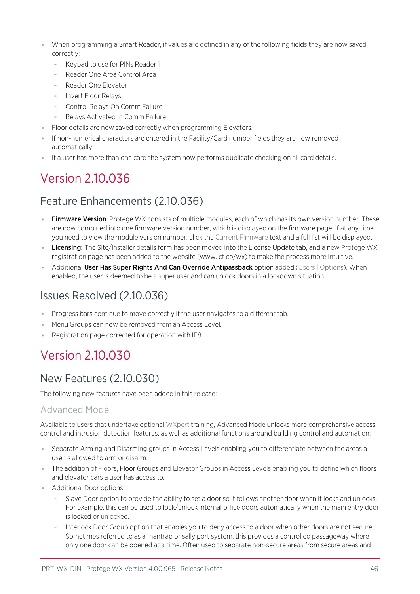- When programming a Smart Reader, if values are defined in any of the following fields they are now saved correctly:
	- Keypad to use for PINs Reader 1
	- Reader One Area Control Area
	- Reader One Elevator
	- Invert Floor Relays
	- Control Relays On Comm Failure
	- Relays Activated In Comm Failure
- Floor details are now saved correctly when programming Elevators.
- ⦁ If non-numerical characters are entered in the Facility/Card number fields they are now removed automatically.
- ⦁ If a user has more than one card the system now performs duplicate checking on all card details.

# Version 2.10.036

# Feature Enhancements (2.10.036)

- Firmware Version: Protege WX consists of multiple modules, each of which has its own version number. These are now combined into one firmware version number, which is displayed on the firmware page. If at any time you need to view the module version number, click the Current Firmware text and a full list will be displayed.
- **Licensing:** The Site/Installer details form has been moved into the License Update tab, and a new Protege WX registration page has been added to the website (www.ict.co/wx) to make the process more intuitive.
- Additional User Has Super Rights And Can Override Antipassback option added (Users | Options). When enabled, the user is deemed to be a super user and can unlock doors in a lockdown situation.

# Issues Resolved (2.10.036)

- ⦁ Progress bars continue to move correctly if the user navigates to a different tab.
- ⦁ Menu Groups can now be removed from an Access Level.
- ⦁ Registration page corrected for operation with IE8.

# Version 2.10.030

# New Features (2.10.030)

The following new features have been added in this release:

## Advanced Mode

Available to users that undertake optional WXpert training, Advanced Mode unlocks more comprehensive access control and intrusion detection features, as well as additional functions around building control and automation:

- Separate Arming and Disarming groups in Access Levels enabling you to differentiate between the areas a user is allowed to arm or disarm.
- ⦁ The addition of Floors, Floor Groups and Elevator Groups in Access Levels enabling you to define which floors and elevator cars a user has access to.
- ⦁ Additional Door options:
	- Slave Door option to provide the ability to set a door so it follows another door when it locks and unlocks. For example, this can be used to lock/unlock internal office doors automatically when the main entry door is locked or unlocked.
	- Interlock Door Group option that enables you to deny access to a door when other doors are not secure. Sometimes referred to as a mantrap or sally port system, this provides a controlled passageway where only one door can be opened at a time. Often used to separate non-secure areas from secure areas and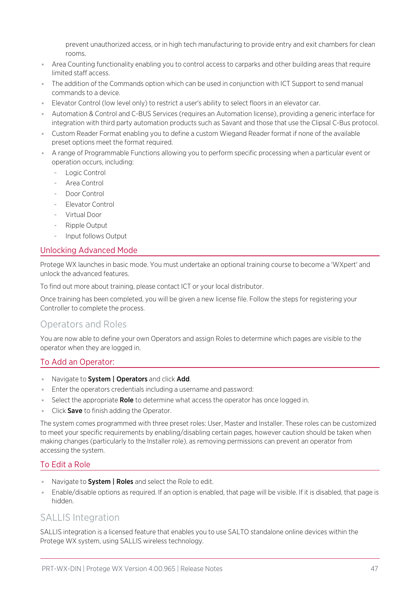prevent unauthorized access, or in high tech manufacturing to provide entry and exit chambers for clean rooms.

- ⦁ Area Counting functionality enabling you to control access to carparks and other building areas that require limited staff access.
- ⦁ The addition of the Commands option which can be used in conjunction with ICT Support to send manual commands to a device.
- ⦁ Elevator Control (low level only) to restrict a user's ability to select floors in an elevator car.
- ⦁ Automation & Control and C-BUS Services (requires an Automation license), providing a generic interface for integration with third party automation products such as Savant and those that use the Clipsal C-Bus protocol.
- ⦁ Custom Reader Format enabling you to define a custom Wiegand Reader format if none of the available preset options meet the format required.
- ⦁ A range of Programmable Functions allowing you to perform specific processing when a particular event or operation occurs, including:
	- Logic Control
	- Area Control
	- Door Control
	- Elevator Control
	- Virtual Door
	- Ripple Output
	- Input follows Output

### Unlocking Advanced Mode

Protege WX launches in basic mode. You must undertake an optional training course to become a 'WXpert' and unlock the advanced features.

To find out more about training, please contact ICT or your local distributor.

Once training has been completed, you will be given a new license file. Follow the steps for registering your Controller to complete the process.

### Operators and Roles

You are now able to define your own Operators and assign Roles to determine which pages are visible to the operator when they are logged in.

### To Add an Operator:

- Navigate to System | Operators and click Add.
- ⦁ Enter the operators credentials including a username and password:
- Select the appropriate Role to determine what access the operator has once logged in.
- **Click Save** to finish adding the Operator.

The system comes programmed with three preset roles: User, Master and Installer. These roles can be customized to meet your specific requirements by enabling/disabling certain pages, however caution should be taken when making changes (particularly to the Installer role), as removing permissions can prevent an operator from accessing the system.

### To Edit a Role

- Navigate to **System | Roles** and select the Role to edit.
- ⦁ Enable/disable options as required. If an option is enabled, that page will be visible. If it is disabled, that page is hidden.

## SALLIS Integration

SALLIS integration is a licensed feature that enables you to use SALTO standalone online devices within the Protege WX system, using SALLIS wireless technology.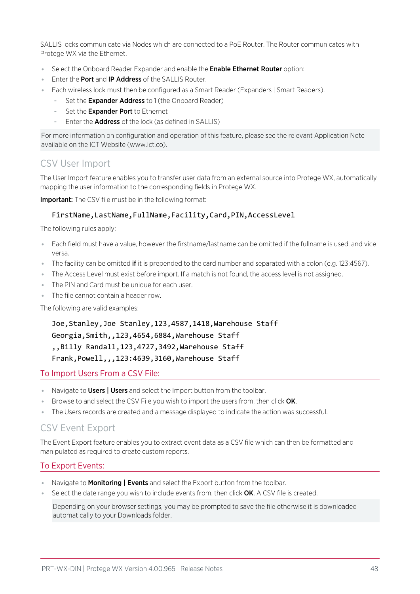SALLIS locks communicate via Nodes which are connected to a PoE Router. The Router communicates with Protege WX via the Ethernet.

- Select the Onboard Reader Expander and enable the **Enable Ethernet Router** option:
- **Enter the Port and IP Address of the SALLIS Router.**
- ⦁ Each wireless lock must then be configured as a Smart Reader (Expanders | Smart Readers).
	- Set the Expander Address to 1 (the Onboard Reader)
	- Set the Expander Port to Ethernet
	- Enter the **Address** of the lock (as defined in SALLIS)

For more information on configuration and operation of this feature, please see the relevant Application Note available on the ICT Website (www.ict.co).

## CSV User Import

The User Import feature enables you to transfer user data from an external source into Protege WX, automatically mapping the user information to the corresponding fields in Protege WX.

**Important:** The CSV file must be in the following format:

### FirstName,LastName,FullName,Facility,Card,PIN,AccessLevel

The following rules apply:

- ⦁ Each field must have a value, however the firstname/lastname can be omitted if the fullname is used, and vice versa.
- The facility can be omitted **if** it is prepended to the card number and separated with a colon (e.g. 123:4567).
- ⦁ The Access Level must exist before import. If a match is not found, the access level is not assigned.
- ⦁ The PIN and Card must be unique for each user.
- ⦁ The file cannot contain a header row.

The following are valid examples:

Joe,Stanley,Joe Stanley,123,4587,1418,Warehouse Staff Georgia,Smith,,123,4654,6884,Warehouse Staff ,,Billy Randall,123,4727,3492,Warehouse Staff Frank,Powell,,,123:4639,3160,Warehouse Staff

### To Import Users From a CSV File:

- Navigate to Users | Users and select the Import button from the toolbar.
- Browse to and select the CSV File you wish to import the users from, then click OK.
- ⦁ The Users records are created and a message displayed to indicate the action was successful.

## CSV Event Export

The Event Export feature enables you to extract event data as a CSV file which can then be formatted and manipulated as required to create custom reports.

### To Export Events:

- Navigate to **Monitoring | Events** and select the Export button from the toolbar.
- $\bullet$  Select the date range you wish to include events from, then click  $OK$ . A CSV file is created.

Depending on your browser settings, you may be prompted to save the file otherwise it is downloaded automatically to your Downloads folder.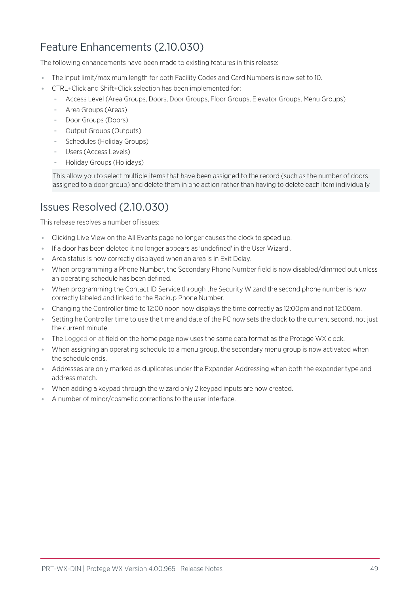# Feature Enhancements (2.10.030)

The following enhancements have been made to existing features in this release:

- ⦁ The input limit/maximum length for both Facility Codes and Card Numbers is now set to 10.
- ⦁ CTRL+Click and Shift+Click selection has been implemented for:
	- Access Level (Area Groups, Doors, Door Groups, Floor Groups, Elevator Groups, Menu Groups)
	- Area Groups (Areas)
	- Door Groups (Doors)
	- Output Groups (Outputs)
	- Schedules (Holiday Groups)
	- Users (Access Levels)
	- Holiday Groups (Holidays)

This allow you to select multiple items that have been assigned to the record (such as the number of doors assigned to a door group) and delete them in one action rather than having to delete each item individually

# Issues Resolved (2.10.030)

This release resolves a number of issues:

- ⦁ Clicking Live View on the All Events page no longer causes the clock to speed up.
- ⦁ If a door has been deleted it no longer appears as 'undefined' in the User Wizard .
- ⦁ Area status is now correctly displayed when an area is in Exit Delay.
- ⦁ When programming a Phone Number, the Secondary Phone Number field is now disabled/dimmed out unless an operating schedule has been defined.
- ⦁ When programming the Contact ID Service through the Security Wizard the second phone number is now correctly labeled and linked to the Backup Phone Number.
- ⦁ Changing the Controller time to 12:00 noon now displays the time correctly as 12:00pm and not 12:00am.
- Setting he Controller time to use the time and date of the PC now sets the clock to the current second, not just the current minute.
- ⦁ The Logged on at field on the home page now uses the same data format as the Protege WX clock.
- ⦁ When assigning an operating schedule to a menu group, the secondary menu group is now activated when the schedule ends.
- ⦁ Addresses are only marked as duplicates under the Expander Addressing when both the expander type and address match.
- ⦁ When adding a keypad through the wizard only 2 keypad inputs are now created.
- ⦁ A number of minor/cosmetic corrections to the user interface.